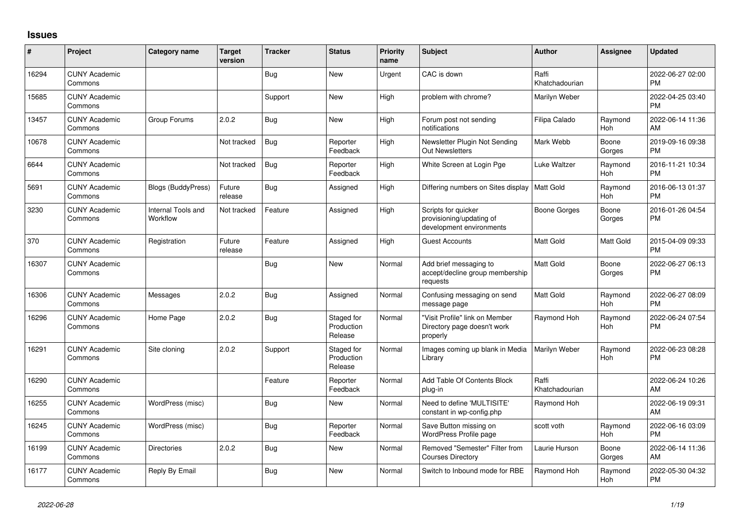## **Issues**

| #     | Project                         | <b>Category name</b>                  | <b>Target</b><br>version | <b>Tracker</b> | <b>Status</b>                       | <b>Priority</b><br>name | <b>Subject</b>                                                              | <b>Author</b>           | Assignee              | <b>Updated</b>                |
|-------|---------------------------------|---------------------------------------|--------------------------|----------------|-------------------------------------|-------------------------|-----------------------------------------------------------------------------|-------------------------|-----------------------|-------------------------------|
| 16294 | <b>CUNY Academic</b><br>Commons |                                       |                          | Bug            | <b>New</b>                          | Urgent                  | CAC is down                                                                 | Raffi<br>Khatchadourian |                       | 2022-06-27 02:00<br><b>PM</b> |
| 15685 | <b>CUNY Academic</b><br>Commons |                                       |                          | Support        | New                                 | High                    | problem with chrome?                                                        | Marilyn Weber           |                       | 2022-04-25 03:40<br><b>PM</b> |
| 13457 | <b>CUNY Academic</b><br>Commons | Group Forums                          | 2.0.2                    | <b>Bug</b>     | New                                 | High                    | Forum post not sending<br>notifications                                     | Filipa Calado           | Raymond<br>Hoh        | 2022-06-14 11:36<br>AM        |
| 10678 | <b>CUNY Academic</b><br>Commons |                                       | Not tracked              | <b>Bug</b>     | Reporter<br>Feedback                | High                    | Newsletter Plugin Not Sending<br><b>Out Newsletters</b>                     | Mark Webb               | Boone<br>Gorges       | 2019-09-16 09:38<br><b>PM</b> |
| 6644  | <b>CUNY Academic</b><br>Commons |                                       | Not tracked              | <b>Bug</b>     | Reporter<br>Feedback                | High                    | White Screen at Login Pge                                                   | Luke Waltzer            | Raymond<br>Hoh        | 2016-11-21 10:34<br><b>PM</b> |
| 5691  | <b>CUNY Academic</b><br>Commons | <b>Blogs (BuddyPress)</b>             | Future<br>release        | <b>Bug</b>     | Assigned                            | High                    | Differing numbers on Sites display                                          | Matt Gold               | Raymond<br>Hoh        | 2016-06-13 01:37<br>PM        |
| 3230  | <b>CUNY Academic</b><br>Commons | <b>Internal Tools and</b><br>Workflow | Not tracked              | Feature        | Assigned                            | High                    | Scripts for quicker<br>provisioning/updating of<br>development environments | <b>Boone Gorges</b>     | Boone<br>Gorges       | 2016-01-26 04:54<br><b>PM</b> |
| 370   | <b>CUNY Academic</b><br>Commons | Registration                          | Future<br>release        | Feature        | Assigned                            | High                    | <b>Guest Accounts</b>                                                       | Matt Gold               | <b>Matt Gold</b>      | 2015-04-09 09:33<br><b>PM</b> |
| 16307 | <b>CUNY Academic</b><br>Commons |                                       |                          | <b>Bug</b>     | New                                 | Normal                  | Add brief messaging to<br>accept/decline group membership<br>requests       | Matt Gold               | Boone<br>Gorges       | 2022-06-27 06:13<br>PM        |
| 16306 | <b>CUNY Academic</b><br>Commons | Messages                              | 2.0.2                    | <b>Bug</b>     | Assigned                            | Normal                  | Confusing messaging on send<br>message page                                 | Matt Gold               | Raymond<br><b>Hoh</b> | 2022-06-27 08:09<br><b>PM</b> |
| 16296 | <b>CUNY Academic</b><br>Commons | Home Page                             | 2.0.2                    | <b>Bug</b>     | Staged for<br>Production<br>Release | Normal                  | "Visit Profile" link on Member<br>Directory page doesn't work<br>properly   | Raymond Hoh             | Raymond<br>Hoh        | 2022-06-24 07:54<br><b>PM</b> |
| 16291 | <b>CUNY Academic</b><br>Commons | Site cloning                          | 2.0.2                    | Support        | Staged for<br>Production<br>Release | Normal                  | Images coming up blank in Media<br>Library                                  | Marilyn Weber           | Raymond<br>Hoh        | 2022-06-23 08:28<br><b>PM</b> |
| 16290 | <b>CUNY Academic</b><br>Commons |                                       |                          | Feature        | Reporter<br>Feedback                | Normal                  | Add Table Of Contents Block<br>plug-in                                      | Raffi<br>Khatchadourian |                       | 2022-06-24 10:26<br>AM        |
| 16255 | <b>CUNY Academic</b><br>Commons | WordPress (misc)                      |                          | <b>Bug</b>     | New                                 | Normal                  | Need to define 'MULTISITE'<br>constant in wp-config.php                     | Raymond Hoh             |                       | 2022-06-19 09:31<br>AM        |
| 16245 | <b>CUNY Academic</b><br>Commons | WordPress (misc)                      |                          | <b>Bug</b>     | Reporter<br>Feedback                | Normal                  | Save Button missing on<br>WordPress Profile page                            | scott voth              | Raymond<br>Hoh        | 2022-06-16 03:09<br><b>PM</b> |
| 16199 | <b>CUNY Academic</b><br>Commons | <b>Directories</b>                    | 2.0.2                    | <b>Bug</b>     | New                                 | Normal                  | Removed "Semester" Filter from<br><b>Courses Directory</b>                  | Laurie Hurson           | Boone<br>Gorges       | 2022-06-14 11:36<br>AM        |
| 16177 | <b>CUNY Academic</b><br>Commons | Reply By Email                        |                          | <b>Bug</b>     | <b>New</b>                          | Normal                  | Switch to Inbound mode for RBE                                              | Raymond Hoh             | Raymond<br>Hoh        | 2022-05-30 04:32<br><b>PM</b> |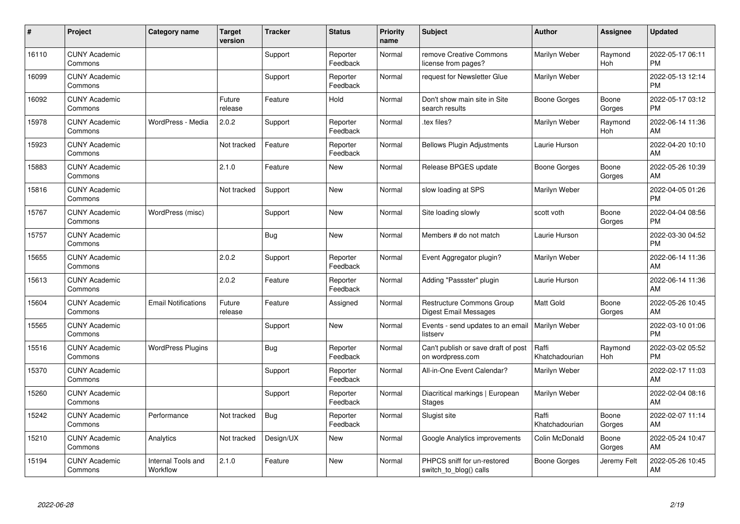| #     | Project                         | Category name                  | <b>Target</b><br>version | <b>Tracker</b> | <b>Status</b>        | <b>Priority</b><br>name | <b>Subject</b>                                          | <b>Author</b>           | <b>Assignee</b> | <b>Updated</b>                |
|-------|---------------------------------|--------------------------------|--------------------------|----------------|----------------------|-------------------------|---------------------------------------------------------|-------------------------|-----------------|-------------------------------|
| 16110 | <b>CUNY Academic</b><br>Commons |                                |                          | Support        | Reporter<br>Feedback | Normal                  | remove Creative Commons<br>license from pages?          | Marilyn Weber           | Raymond<br>Hoh  | 2022-05-17 06:11<br><b>PM</b> |
| 16099 | <b>CUNY Academic</b><br>Commons |                                |                          | Support        | Reporter<br>Feedback | Normal                  | request for Newsletter Glue                             | Marilyn Weber           |                 | 2022-05-13 12:14<br><b>PM</b> |
| 16092 | <b>CUNY Academic</b><br>Commons |                                | Future<br>release        | Feature        | Hold                 | Normal                  | Don't show main site in Site<br>search results          | Boone Gorges            | Boone<br>Gorges | 2022-05-17 03:12<br><b>PM</b> |
| 15978 | <b>CUNY Academic</b><br>Commons | WordPress - Media              | 2.0.2                    | Support        | Reporter<br>Feedback | Normal                  | tex files?                                              | Marilyn Weber           | Raymond<br>Hoh  | 2022-06-14 11:36<br>AM        |
| 15923 | <b>CUNY Academic</b><br>Commons |                                | Not tracked              | Feature        | Reporter<br>Feedback | Normal                  | <b>Bellows Plugin Adjustments</b>                       | Laurie Hurson           |                 | 2022-04-20 10:10<br>AM        |
| 15883 | <b>CUNY Academic</b><br>Commons |                                | 2.1.0                    | Feature        | New                  | Normal                  | Release BPGES update                                    | <b>Boone Gorges</b>     | Boone<br>Gorges | 2022-05-26 10:39<br>AM        |
| 15816 | <b>CUNY Academic</b><br>Commons |                                | Not tracked              | Support        | <b>New</b>           | Normal                  | slow loading at SPS                                     | Marilyn Weber           |                 | 2022-04-05 01:26<br><b>PM</b> |
| 15767 | <b>CUNY Academic</b><br>Commons | WordPress (misc)               |                          | Support        | <b>New</b>           | Normal                  | Site loading slowly                                     | scott voth              | Boone<br>Gorges | 2022-04-04 08:56<br><b>PM</b> |
| 15757 | <b>CUNY Academic</b><br>Commons |                                |                          | <b>Bug</b>     | <b>New</b>           | Normal                  | Members # do not match                                  | Laurie Hurson           |                 | 2022-03-30 04:52<br><b>PM</b> |
| 15655 | <b>CUNY Academic</b><br>Commons |                                | 2.0.2                    | Support        | Reporter<br>Feedback | Normal                  | Event Aggregator plugin?                                | Marilyn Weber           |                 | 2022-06-14 11:36<br>AM        |
| 15613 | <b>CUNY Academic</b><br>Commons |                                | 2.0.2                    | Feature        | Reporter<br>Feedback | Normal                  | Adding "Passster" plugin                                | Laurie Hurson           |                 | 2022-06-14 11:36<br>AM        |
| 15604 | <b>CUNY Academic</b><br>Commons | <b>Email Notifications</b>     | Future<br>release        | Feature        | Assigned             | Normal                  | Restructure Commons Group<br>Digest Email Messages      | Matt Gold               | Boone<br>Gorges | 2022-05-26 10:45<br>AM        |
| 15565 | <b>CUNY Academic</b><br>Commons |                                |                          | Support        | New                  | Normal                  | Events - send updates to an email<br>listserv           | Marilyn Weber           |                 | 2022-03-10 01:06<br><b>PM</b> |
| 15516 | <b>CUNY Academic</b><br>Commons | <b>WordPress Plugins</b>       |                          | Bug            | Reporter<br>Feedback | Normal                  | Can't publish or save draft of post<br>on wordpress.com | Raffi<br>Khatchadourian | Raymond<br>Hoh  | 2022-03-02 05:52<br><b>PM</b> |
| 15370 | <b>CUNY Academic</b><br>Commons |                                |                          | Support        | Reporter<br>Feedback | Normal                  | All-in-One Event Calendar?                              | Marilyn Weber           |                 | 2022-02-17 11:03<br>AM        |
| 15260 | <b>CUNY Academic</b><br>Commons |                                |                          | Support        | Reporter<br>Feedback | Normal                  | Diacritical markings   European<br><b>Stages</b>        | Marilyn Weber           |                 | 2022-02-04 08:16<br>AM        |
| 15242 | <b>CUNY Academic</b><br>Commons | Performance                    | Not tracked              | <b>Bug</b>     | Reporter<br>Feedback | Normal                  | Slugist site                                            | Raffi<br>Khatchadourian | Boone<br>Gorges | 2022-02-07 11:14<br>AM        |
| 15210 | <b>CUNY Academic</b><br>Commons | Analytics                      | Not tracked              | Design/UX      | New                  | Normal                  | Google Analytics improvements                           | Colin McDonald          | Boone<br>Gorges | 2022-05-24 10:47<br>AM        |
| 15194 | <b>CUNY Academic</b><br>Commons | Internal Tools and<br>Workflow | 2.1.0                    | Feature        | <b>New</b>           | Normal                  | PHPCS sniff for un-restored<br>switch_to_blog() calls   | Boone Gorges            | Jeremy Felt     | 2022-05-26 10:45<br>AM        |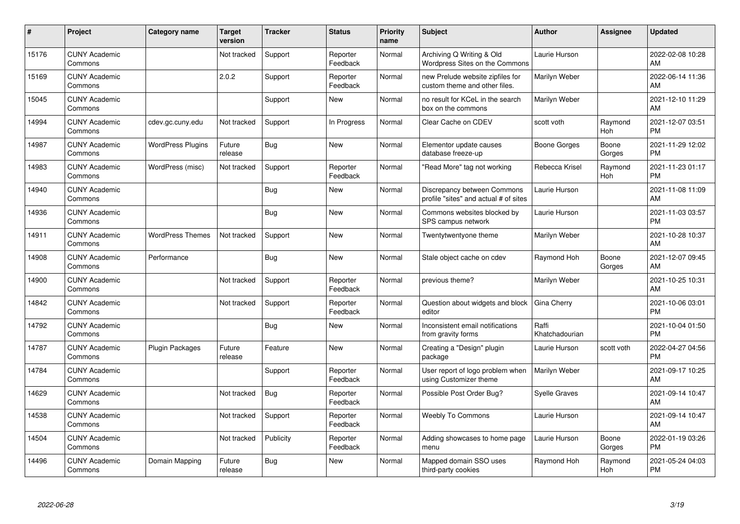| #     | Project                         | <b>Category name</b>     | <b>Target</b><br>version | <b>Tracker</b> | <b>Status</b>        | <b>Priority</b><br>name | <b>Subject</b>                                                       | Author                  | <b>Assignee</b> | <b>Updated</b>                |
|-------|---------------------------------|--------------------------|--------------------------|----------------|----------------------|-------------------------|----------------------------------------------------------------------|-------------------------|-----------------|-------------------------------|
| 15176 | <b>CUNY Academic</b><br>Commons |                          | Not tracked              | Support        | Reporter<br>Feedback | Normal                  | Archiving Q Writing & Old<br>Wordpress Sites on the Commons          | Laurie Hurson           |                 | 2022-02-08 10:28<br>AM        |
| 15169 | <b>CUNY Academic</b><br>Commons |                          | 2.0.2                    | Support        | Reporter<br>Feedback | Normal                  | new Prelude website zipfiles for<br>custom theme and other files.    | Marilyn Weber           |                 | 2022-06-14 11:36<br>AM        |
| 15045 | <b>CUNY Academic</b><br>Commons |                          |                          | Support        | New                  | Normal                  | no result for KCeL in the search<br>box on the commons               | Marilyn Weber           |                 | 2021-12-10 11:29<br>AM        |
| 14994 | <b>CUNY Academic</b><br>Commons | cdev.gc.cuny.edu         | Not tracked              | Support        | In Progress          | Normal                  | Clear Cache on CDEV                                                  | scott voth              | Raymond<br>Hoh  | 2021-12-07 03:51<br><b>PM</b> |
| 14987 | <b>CUNY Academic</b><br>Commons | <b>WordPress Plugins</b> | Future<br>release        | Bug            | <b>New</b>           | Normal                  | Elementor update causes<br>database freeze-up                        | Boone Gorges            | Boone<br>Gorges | 2021-11-29 12:02<br><b>PM</b> |
| 14983 | <b>CUNY Academic</b><br>Commons | WordPress (misc)         | Not tracked              | Support        | Reporter<br>Feedback | Normal                  | "Read More" tag not working                                          | Rebecca Krisel          | Raymond<br>Hoh  | 2021-11-23 01:17<br><b>PM</b> |
| 14940 | <b>CUNY Academic</b><br>Commons |                          |                          | Bug            | <b>New</b>           | Normal                  | Discrepancy between Commons<br>profile "sites" and actual # of sites | Laurie Hurson           |                 | 2021-11-08 11:09<br>AM        |
| 14936 | <b>CUNY Academic</b><br>Commons |                          |                          | Bug            | <b>New</b>           | Normal                  | Commons websites blocked by<br>SPS campus network                    | Laurie Hurson           |                 | 2021-11-03 03:57<br><b>PM</b> |
| 14911 | <b>CUNY Academic</b><br>Commons | <b>WordPress Themes</b>  | Not tracked              | Support        | <b>New</b>           | Normal                  | Twentytwentyone theme                                                | Marilyn Weber           |                 | 2021-10-28 10:37<br>AM        |
| 14908 | <b>CUNY Academic</b><br>Commons | Performance              |                          | <b>Bug</b>     | <b>New</b>           | Normal                  | Stale object cache on cdev                                           | Raymond Hoh             | Boone<br>Gorges | 2021-12-07 09:45<br>AM        |
| 14900 | <b>CUNY Academic</b><br>Commons |                          | Not tracked              | Support        | Reporter<br>Feedback | Normal                  | previous theme?                                                      | Marilyn Weber           |                 | 2021-10-25 10:31<br>AM        |
| 14842 | <b>CUNY Academic</b><br>Commons |                          | Not tracked              | Support        | Reporter<br>Feedback | Normal                  | Question about widgets and block<br>editor                           | Gina Cherry             |                 | 2021-10-06 03:01<br><b>PM</b> |
| 14792 | <b>CUNY Academic</b><br>Commons |                          |                          | Bug            | New                  | Normal                  | Inconsistent email notifications<br>from gravity forms               | Raffi<br>Khatchadourian |                 | 2021-10-04 01:50<br><b>PM</b> |
| 14787 | <b>CUNY Academic</b><br>Commons | Plugin Packages          | Future<br>release        | Feature        | New                  | Normal                  | Creating a "Design" plugin<br>package                                | Laurie Hurson           | scott voth      | 2022-04-27 04:56<br>PM        |
| 14784 | <b>CUNY Academic</b><br>Commons |                          |                          | Support        | Reporter<br>Feedback | Normal                  | User report of logo problem when<br>using Customizer theme           | Marilyn Weber           |                 | 2021-09-17 10:25<br>AM        |
| 14629 | <b>CUNY Academic</b><br>Commons |                          | Not tracked              | Bug            | Reporter<br>Feedback | Normal                  | Possible Post Order Bug?                                             | <b>Syelle Graves</b>    |                 | 2021-09-14 10:47<br>AM        |
| 14538 | <b>CUNY Academic</b><br>Commons |                          | Not tracked              | Support        | Reporter<br>Feedback | Normal                  | <b>Weebly To Commons</b>                                             | Laurie Hurson           |                 | 2021-09-14 10:47<br>AM        |
| 14504 | <b>CUNY Academic</b><br>Commons |                          | Not tracked              | Publicity      | Reporter<br>Feedback | Normal                  | Adding showcases to home page<br>menu                                | Laurie Hurson           | Boone<br>Gorges | 2022-01-19 03:26<br><b>PM</b> |
| 14496 | <b>CUNY Academic</b><br>Commons | Domain Mapping           | Future<br>release        | Bug            | <b>New</b>           | Normal                  | Mapped domain SSO uses<br>third-party cookies                        | Raymond Hoh             | Raymond<br>Hoh  | 2021-05-24 04:03<br><b>PM</b> |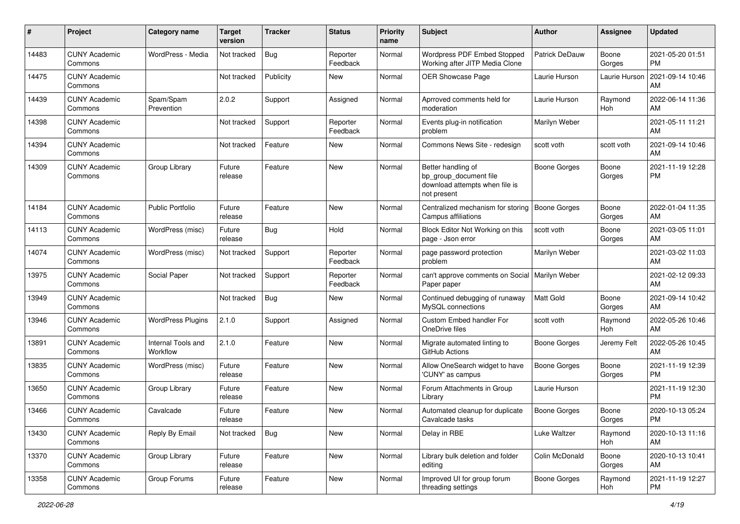| #     | Project                         | <b>Category name</b>           | <b>Target</b><br>version | <b>Tracker</b> | <b>Status</b>        | <b>Priority</b><br>name | <b>Subject</b>                                                                                | <b>Author</b>         | <b>Assignee</b> | <b>Updated</b>                |
|-------|---------------------------------|--------------------------------|--------------------------|----------------|----------------------|-------------------------|-----------------------------------------------------------------------------------------------|-----------------------|-----------------|-------------------------------|
| 14483 | <b>CUNY Academic</b><br>Commons | WordPress - Media              | Not tracked              | <b>Bug</b>     | Reporter<br>Feedback | Normal                  | <b>Wordpress PDF Embed Stopped</b><br>Working after JITP Media Clone                          | <b>Patrick DeDauw</b> | Boone<br>Gorges | 2021-05-20 01:51<br><b>PM</b> |
| 14475 | <b>CUNY Academic</b><br>Commons |                                | Not tracked              | Publicity      | New                  | Normal                  | <b>OER Showcase Page</b>                                                                      | Laurie Hurson         | Laurie Hurson   | 2021-09-14 10:46<br>AM        |
| 14439 | <b>CUNY Academic</b><br>Commons | Spam/Spam<br>Prevention        | 2.0.2                    | Support        | Assigned             | Normal                  | Aprroved comments held for<br>moderation                                                      | Laurie Hurson         | Raymond<br>Hoh  | 2022-06-14 11:36<br>AM        |
| 14398 | <b>CUNY Academic</b><br>Commons |                                | Not tracked              | Support        | Reporter<br>Feedback | Normal                  | Events plug-in notification<br>problem                                                        | Marilyn Weber         |                 | 2021-05-11 11:21<br>AM        |
| 14394 | <b>CUNY Academic</b><br>Commons |                                | Not tracked              | Feature        | New                  | Normal                  | Commons News Site - redesign                                                                  | scott voth            | scott voth      | 2021-09-14 10:46<br>AM        |
| 14309 | <b>CUNY Academic</b><br>Commons | Group Library                  | Future<br>release        | Feature        | <b>New</b>           | Normal                  | Better handling of<br>bp_group_document file<br>download attempts when file is<br>not present | Boone Gorges          | Boone<br>Gorges | 2021-11-19 12:28<br><b>PM</b> |
| 14184 | <b>CUNY Academic</b><br>Commons | <b>Public Portfolio</b>        | Future<br>release        | Feature        | New                  | Normal                  | Centralized mechanism for storing<br>Campus affiliations                                      | <b>Boone Gorges</b>   | Boone<br>Gorges | 2022-01-04 11:35<br>AM        |
| 14113 | <b>CUNY Academic</b><br>Commons | WordPress (misc)               | Future<br>release        | Bug            | Hold                 | Normal                  | Block Editor Not Working on this<br>page - Json error                                         | scott voth            | Boone<br>Gorges | 2021-03-05 11:01<br>AM        |
| 14074 | <b>CUNY Academic</b><br>Commons | WordPress (misc)               | Not tracked              | Support        | Reporter<br>Feedback | Normal                  | page password protection<br>problem                                                           | Marilyn Weber         |                 | 2021-03-02 11:03<br>AM        |
| 13975 | <b>CUNY Academic</b><br>Commons | Social Paper                   | Not tracked              | Support        | Reporter<br>Feedback | Normal                  | can't approve comments on Social   Marilyn Weber<br>Paper paper                               |                       |                 | 2021-02-12 09:33<br>AM        |
| 13949 | <b>CUNY Academic</b><br>Commons |                                | Not tracked              | Bug            | New                  | Normal                  | Continued debugging of runaway<br>MySQL connections                                           | Matt Gold             | Boone<br>Gorges | 2021-09-14 10:42<br>AM        |
| 13946 | <b>CUNY Academic</b><br>Commons | <b>WordPress Plugins</b>       | 2.1.0                    | Support        | Assigned             | Normal                  | Custom Embed handler For<br>OneDrive files                                                    | scott voth            | Raymond<br>Hoh  | 2022-05-26 10:46<br>AM        |
| 13891 | <b>CUNY Academic</b><br>Commons | Internal Tools and<br>Workflow | 2.1.0                    | Feature        | <b>New</b>           | Normal                  | Migrate automated linting to<br>GitHub Actions                                                | Boone Gorges          | Jeremy Felt     | 2022-05-26 10:45<br>AM        |
| 13835 | <b>CUNY Academic</b><br>Commons | WordPress (misc)               | Future<br>release        | Feature        | <b>New</b>           | Normal                  | Allow OneSearch widget to have<br>'CUNY' as campus                                            | <b>Boone Gorges</b>   | Boone<br>Gorges | 2021-11-19 12:39<br><b>PM</b> |
| 13650 | <b>CUNY Academic</b><br>Commons | Group Library                  | Future<br>release        | Feature        | New                  | Normal                  | Forum Attachments in Group<br>Library                                                         | Laurie Hurson         |                 | 2021-11-19 12:30<br><b>PM</b> |
| 13466 | <b>CUNY Academic</b><br>Commons | Cavalcade                      | Future<br>release        | Feature        | New                  | Normal                  | Automated cleanup for duplicate<br>Cavalcade tasks                                            | Boone Gorges          | Boone<br>Gorges | 2020-10-13 05:24<br>PM        |
| 13430 | <b>CUNY Academic</b><br>Commons | Reply By Email                 | Not tracked              | Bug            | New                  | Normal                  | Delay in RBE                                                                                  | Luke Waltzer          | Raymond<br>Hoh  | 2020-10-13 11:16<br>AM        |
| 13370 | <b>CUNY Academic</b><br>Commons | Group Library                  | Future<br>release        | Feature        | New                  | Normal                  | Library bulk deletion and folder<br>editing                                                   | Colin McDonald        | Boone<br>Gorges | 2020-10-13 10:41<br>AM        |
| 13358 | <b>CUNY Academic</b><br>Commons | Group Forums                   | Future<br>release        | Feature        | New                  | Normal                  | Improved UI for group forum<br>threading settings                                             | <b>Boone Gorges</b>   | Raymond<br>Hoh  | 2021-11-19 12:27<br>PM        |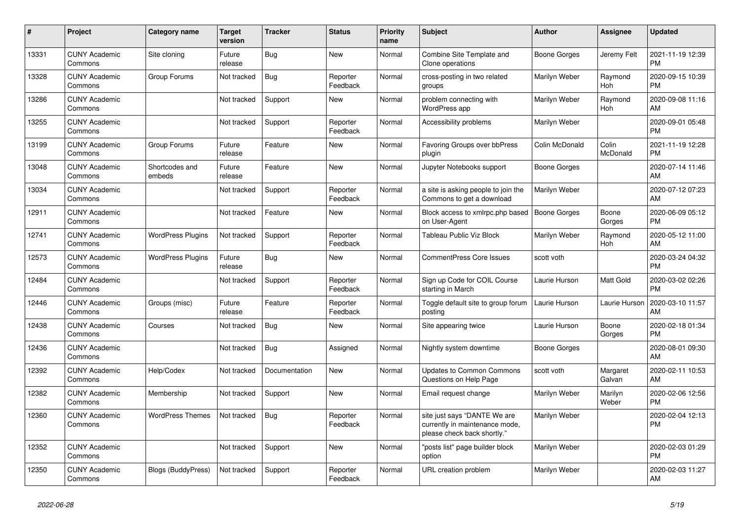| #     | Project                         | Category name             | <b>Target</b><br>version | <b>Tracker</b> | <b>Status</b>        | Priority<br>name | <b>Subject</b>                                                                                | <b>Author</b>       | <b>Assignee</b>    | <b>Updated</b>                |
|-------|---------------------------------|---------------------------|--------------------------|----------------|----------------------|------------------|-----------------------------------------------------------------------------------------------|---------------------|--------------------|-------------------------------|
| 13331 | <b>CUNY Academic</b><br>Commons | Site cloning              | Future<br>release        | Bug            | <b>New</b>           | Normal           | Combine Site Template and<br>Clone operations                                                 | Boone Gorges        | Jeremy Felt        | 2021-11-19 12:39<br><b>PM</b> |
| 13328 | <b>CUNY Academic</b><br>Commons | Group Forums              | Not tracked              | <b>Bug</b>     | Reporter<br>Feedback | Normal           | cross-posting in two related<br>groups                                                        | Marilyn Weber       | Raymond<br>Hoh     | 2020-09-15 10:39<br><b>PM</b> |
| 13286 | <b>CUNY Academic</b><br>Commons |                           | Not tracked              | Support        | New                  | Normal           | problem connecting with<br><b>WordPress app</b>                                               | Marilyn Weber       | Raymond<br>Hoh     | 2020-09-08 11:16<br>AM        |
| 13255 | <b>CUNY Academic</b><br>Commons |                           | Not tracked              | Support        | Reporter<br>Feedback | Normal           | Accessibility problems                                                                        | Marilyn Weber       |                    | 2020-09-01 05:48<br><b>PM</b> |
| 13199 | <b>CUNY Academic</b><br>Commons | Group Forums              | Future<br>release        | Feature        | <b>New</b>           | Normal           | <b>Favoring Groups over bbPress</b><br>plugin                                                 | Colin McDonald      | Colin<br>McDonald  | 2021-11-19 12:28<br><b>PM</b> |
| 13048 | <b>CUNY Academic</b><br>Commons | Shortcodes and<br>embeds  | Future<br>release        | Feature        | New                  | Normal           | Jupyter Notebooks support                                                                     | <b>Boone Gorges</b> |                    | 2020-07-14 11:46<br>AM        |
| 13034 | <b>CUNY Academic</b><br>Commons |                           | Not tracked              | Support        | Reporter<br>Feedback | Normal           | a site is asking people to join the<br>Commons to get a download                              | Marilyn Weber       |                    | 2020-07-12 07:23<br>AM        |
| 12911 | <b>CUNY Academic</b><br>Commons |                           | Not tracked              | Feature        | <b>New</b>           | Normal           | Block access to xmlrpc.php based<br>on User-Agent                                             | Boone Gorges        | Boone<br>Gorges    | 2020-06-09 05:12<br><b>PM</b> |
| 12741 | <b>CUNY Academic</b><br>Commons | <b>WordPress Plugins</b>  | Not tracked              | Support        | Reporter<br>Feedback | Normal           | <b>Tableau Public Viz Block</b>                                                               | Marilyn Weber       | Raymond<br>Hoh     | 2020-05-12 11:00<br>AM        |
| 12573 | <b>CUNY Academic</b><br>Commons | <b>WordPress Plugins</b>  | Future<br>release        | Bug            | <b>New</b>           | Normal           | <b>CommentPress Core Issues</b>                                                               | scott voth          |                    | 2020-03-24 04:32<br><b>PM</b> |
| 12484 | <b>CUNY Academic</b><br>Commons |                           | Not tracked              | Support        | Reporter<br>Feedback | Normal           | Sign up Code for COIL Course<br>starting in March                                             | Laurie Hurson       | <b>Matt Gold</b>   | 2020-03-02 02:26<br><b>PM</b> |
| 12446 | <b>CUNY Academic</b><br>Commons | Groups (misc)             | Future<br>release        | Feature        | Reporter<br>Feedback | Normal           | Toggle default site to group forum<br>posting                                                 | Laurie Hurson       | Laurie Hurson      | 2020-03-10 11:57<br>AM        |
| 12438 | <b>CUNY Academic</b><br>Commons | Courses                   | Not tracked              | Bug            | <b>New</b>           | Normal           | Site appearing twice                                                                          | Laurie Hurson       | Boone<br>Gorges    | 2020-02-18 01:34<br><b>PM</b> |
| 12436 | <b>CUNY Academic</b><br>Commons |                           | Not tracked              | Bug            | Assigned             | Normal           | Nightly system downtime                                                                       | Boone Gorges        |                    | 2020-08-01 09:30<br>AM        |
| 12392 | <b>CUNY Academic</b><br>Commons | Help/Codex                | Not tracked              | Documentation  | New                  | Normal           | <b>Updates to Common Commons</b><br>Questions on Help Page                                    | scott voth          | Margaret<br>Galvan | 2020-02-11 10:53<br>AM        |
| 12382 | <b>CUNY Academic</b><br>Commons | Membership                | Not tracked              | Support        | <b>New</b>           | Normal           | Email request change                                                                          | Marilyn Weber       | Marilyn<br>Weber   | 2020-02-06 12:56<br><b>PM</b> |
| 12360 | <b>CUNY Academic</b><br>Commons | <b>WordPress Themes</b>   | Not tracked              | <b>Bug</b>     | Reporter<br>Feedback | Normal           | site just says "DANTE We are<br>currently in maintenance mode,<br>please check back shortly." | Marilyn Weber       |                    | 2020-02-04 12:13<br><b>PM</b> |
| 12352 | <b>CUNY Academic</b><br>Commons |                           | Not tracked              | Support        | <b>New</b>           | Normal           | "posts list" page builder block<br>option                                                     | Marilyn Weber       |                    | 2020-02-03 01:29<br><b>PM</b> |
| 12350 | <b>CUNY Academic</b><br>Commons | <b>Blogs (BuddyPress)</b> | Not tracked              | Support        | Reporter<br>Feedback | Normal           | URL creation problem                                                                          | Marilyn Weber       |                    | 2020-02-03 11:27<br>AM        |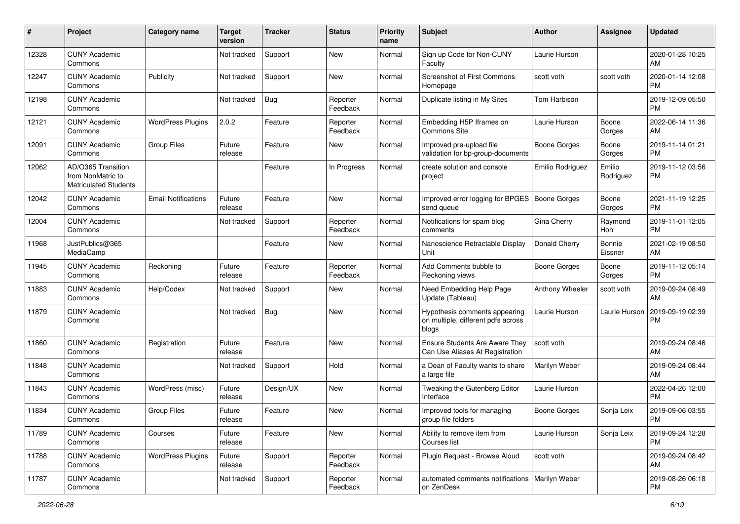| #     | Project                                                                 | <b>Category name</b>       | <b>Target</b><br>version | <b>Tracker</b> | <b>Status</b>        | <b>Priority</b><br>name | <b>Subject</b>                                                               | <b>Author</b>       | <b>Assignee</b>     | <b>Updated</b>                |
|-------|-------------------------------------------------------------------------|----------------------------|--------------------------|----------------|----------------------|-------------------------|------------------------------------------------------------------------------|---------------------|---------------------|-------------------------------|
| 12328 | <b>CUNY Academic</b><br>Commons                                         |                            | Not tracked              | Support        | New                  | Normal                  | Sign up Code for Non-CUNY<br>Faculty                                         | Laurie Hurson       |                     | 2020-01-28 10:25<br>AM        |
| 12247 | <b>CUNY Academic</b><br>Commons                                         | Publicity                  | Not tracked              | Support        | New                  | Normal                  | Screenshot of First Commons<br>Homepage                                      | scott voth          | scott voth          | 2020-01-14 12:08<br><b>PM</b> |
| 12198 | <b>CUNY Academic</b><br>Commons                                         |                            | Not tracked              | <b>Bug</b>     | Reporter<br>Feedback | Normal                  | Duplicate listing in My Sites                                                | Tom Harbison        |                     | 2019-12-09 05:50<br><b>PM</b> |
| 12121 | <b>CUNY Academic</b><br>Commons                                         | <b>WordPress Plugins</b>   | 2.0.2                    | Feature        | Reporter<br>Feedback | Normal                  | Embedding H5P Iframes on<br>Commons Site                                     | Laurie Hurson       | Boone<br>Gorges     | 2022-06-14 11:36<br>AM        |
| 12091 | <b>CUNY Academic</b><br>Commons                                         | <b>Group Files</b>         | Future<br>release        | Feature        | New                  | Normal                  | Improved pre-upload file<br>validation for bp-group-documents                | Boone Gorges        | Boone<br>Gorges     | 2019-11-14 01:21<br><b>PM</b> |
| 12062 | AD/O365 Transition<br>from NonMatric to<br><b>Matriculated Students</b> |                            |                          | Feature        | In Progress          | Normal                  | create solution and console<br>project                                       | Emilio Rodriguez    | Emilio<br>Rodriguez | 2019-11-12 03:56<br>PM        |
| 12042 | <b>CUNY Academic</b><br>Commons                                         | <b>Email Notifications</b> | Future<br>release        | Feature        | New                  | Normal                  | Improved error logging for BPGES   Boone Gorges<br>send queue                |                     | Boone<br>Gorges     | 2021-11-19 12:25<br><b>PM</b> |
| 12004 | <b>CUNY Academic</b><br>Commons                                         |                            | Not tracked              | Support        | Reporter<br>Feedback | Normal                  | Notifications for spam blog<br>comments                                      | Gina Cherry         | Raymond<br>Hoh      | 2019-11-01 12:05<br><b>PM</b> |
| 11968 | JustPublics@365<br>MediaCamp                                            |                            |                          | Feature        | New                  | Normal                  | Nanoscience Retractable Display<br>Unit                                      | Donald Cherry       | Bonnie<br>Eissner   | 2021-02-19 08:50<br>AM        |
| 11945 | <b>CUNY Academic</b><br>Commons                                         | Reckoning                  | Future<br>release        | Feature        | Reporter<br>Feedback | Normal                  | Add Comments bubble to<br>Reckoning views                                    | <b>Boone Gorges</b> | Boone<br>Gorges     | 2019-11-12 05:14<br><b>PM</b> |
| 11883 | <b>CUNY Academic</b><br>Commons                                         | Help/Codex                 | Not tracked              | Support        | New                  | Normal                  | Need Embedding Help Page<br>Update (Tableau)                                 | Anthony Wheeler     | scott voth          | 2019-09-24 08:49<br>AM        |
| 11879 | <b>CUNY Academic</b><br>Commons                                         |                            | Not tracked              | <b>Bug</b>     | New                  | Normal                  | Hypothesis comments appearing<br>on multiple, different pdfs across<br>blogs | Laurie Hurson       | Laurie Hurson       | 2019-09-19 02:39<br>PM        |
| 11860 | <b>CUNY Academic</b><br>Commons                                         | Registration               | Future<br>release        | Feature        | New                  | Normal                  | Ensure Students Are Aware They<br>Can Use Aliases At Registration            | scott voth          |                     | 2019-09-24 08:46<br>AM        |
| 11848 | <b>CUNY Academic</b><br>Commons                                         |                            | Not tracked              | Support        | Hold                 | Normal                  | a Dean of Faculty wants to share<br>a large file                             | Marilyn Weber       |                     | 2019-09-24 08:44<br>AM        |
| 11843 | <b>CUNY Academic</b><br>Commons                                         | WordPress (misc)           | Future<br>release        | Design/UX      | New                  | Normal                  | Tweaking the Gutenberg Editor<br>Interface                                   | Laurie Hurson       |                     | 2022-04-26 12:00<br><b>PM</b> |
| 11834 | <b>CUNY Academic</b><br>Commons                                         | Group Files                | Future<br>release        | Feature        | New                  | Normal                  | Improved tools for managing<br>group file folders                            | <b>Boone Gorges</b> | Sonja Leix          | 2019-09-06 03:55<br>PM        |
| 11789 | <b>CUNY Academic</b><br>Commons                                         | Courses                    | Future<br>release        | Feature        | New                  | Normal                  | Ability to remove item from<br>Courses list                                  | Laurie Hurson       | Sonja Leix          | 2019-09-24 12:28<br><b>PM</b> |
| 11788 | <b>CUNY Academic</b><br>Commons                                         | <b>WordPress Plugins</b>   | Future<br>release        | Support        | Reporter<br>Feedback | Normal                  | Plugin Request - Browse Aloud                                                | scott voth          |                     | 2019-09-24 08:42<br>AM        |
| 11787 | <b>CUNY Academic</b><br>Commons                                         |                            | Not tracked              | Support        | Reporter<br>Feedback | Normal                  | automated comments notifications   Marilyn Weber<br>on ZenDesk               |                     |                     | 2019-08-26 06:18<br><b>PM</b> |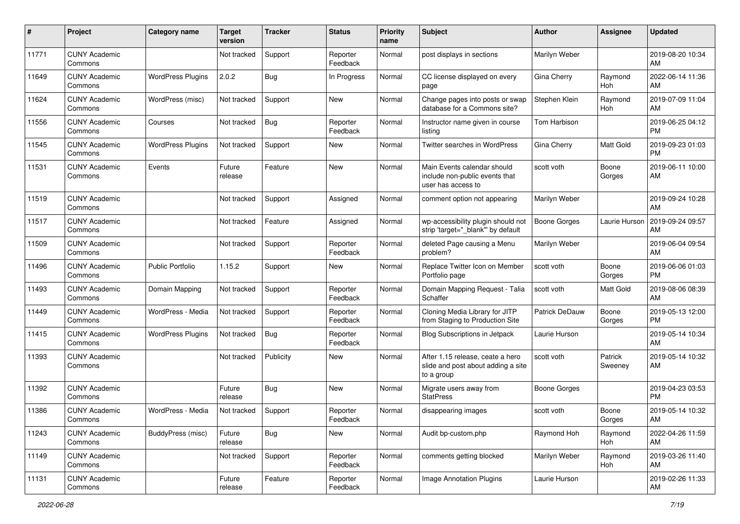| $\#$  | Project                         | <b>Category name</b>     | <b>Target</b><br>version | <b>Tracker</b> | <b>Status</b>        | <b>Priority</b><br>name | <b>Subject</b>                                                                       | <b>Author</b>         | <b>Assignee</b>       | <b>Updated</b>                |
|-------|---------------------------------|--------------------------|--------------------------|----------------|----------------------|-------------------------|--------------------------------------------------------------------------------------|-----------------------|-----------------------|-------------------------------|
| 11771 | <b>CUNY Academic</b><br>Commons |                          | Not tracked              | Support        | Reporter<br>Feedback | Normal                  | post displays in sections                                                            | Marilyn Weber         |                       | 2019-08-20 10:34<br>AM        |
| 11649 | <b>CUNY Academic</b><br>Commons | <b>WordPress Plugins</b> | 2.0.2                    | <b>Bug</b>     | In Progress          | Normal                  | CC license displayed on every<br>page                                                | Gina Cherry           | Raymond<br><b>Hoh</b> | 2022-06-14 11:36<br>AM        |
| 11624 | <b>CUNY Academic</b><br>Commons | WordPress (misc)         | Not tracked              | Support        | New                  | Normal                  | Change pages into posts or swap<br>database for a Commons site?                      | Stephen Klein         | Raymond<br>Hoh        | 2019-07-09 11:04<br>AM        |
| 11556 | <b>CUNY Academic</b><br>Commons | Courses                  | Not tracked              | <b>Bug</b>     | Reporter<br>Feedback | Normal                  | Instructor name given in course<br>listing                                           | Tom Harbison          |                       | 2019-06-25 04:12<br><b>PM</b> |
| 11545 | <b>CUNY Academic</b><br>Commons | <b>WordPress Plugins</b> | Not tracked              | Support        | New                  | Normal                  | Twitter searches in WordPress                                                        | Gina Cherry           | Matt Gold             | 2019-09-23 01:03<br>PM        |
| 11531 | <b>CUNY Academic</b><br>Commons | Events                   | Future<br>release        | Feature        | New                  | Normal                  | Main Events calendar should<br>include non-public events that<br>user has access to  | scott voth            | Boone<br>Gorges       | 2019-06-11 10:00<br>AM        |
| 11519 | <b>CUNY Academic</b><br>Commons |                          | Not tracked              | Support        | Assigned             | Normal                  | comment option not appearing                                                         | Marilyn Weber         |                       | 2019-09-24 10:28<br>AM        |
| 11517 | <b>CUNY Academic</b><br>Commons |                          | Not tracked              | Feature        | Assigned             | Normal                  | wp-accessibility plugin should not<br>strip 'target=" blank" by default              | Boone Gorges          | Laurie Hurson         | 2019-09-24 09:57<br>AM        |
| 11509 | <b>CUNY Academic</b><br>Commons |                          | Not tracked              | Support        | Reporter<br>Feedback | Normal                  | deleted Page causing a Menu<br>problem?                                              | Marilyn Weber         |                       | 2019-06-04 09:54<br>AM        |
| 11496 | <b>CUNY Academic</b><br>Commons | <b>Public Portfolio</b>  | 1.15.2                   | Support        | New                  | Normal                  | Replace Twitter Icon on Member<br>Portfolio page                                     | scott voth            | Boone<br>Gorges       | 2019-06-06 01:03<br><b>PM</b> |
| 11493 | <b>CUNY Academic</b><br>Commons | Domain Mapping           | Not tracked              | Support        | Reporter<br>Feedback | Normal                  | Domain Mapping Request - Talia<br>Schaffer                                           | scott voth            | Matt Gold             | 2019-08-06 08:39<br>AM        |
| 11449 | <b>CUNY Academic</b><br>Commons | WordPress - Media        | Not tracked              | Support        | Reporter<br>Feedback | Normal                  | Cloning Media Library for JITP<br>from Staging to Production Site                    | <b>Patrick DeDauw</b> | Boone<br>Gorges       | 2019-05-13 12:00<br><b>PM</b> |
| 11415 | <b>CUNY Academic</b><br>Commons | <b>WordPress Plugins</b> | Not tracked              | <b>Bug</b>     | Reporter<br>Feedback | Normal                  | <b>Blog Subscriptions in Jetpack</b>                                                 | Laurie Hurson         |                       | 2019-05-14 10:34<br>AM        |
| 11393 | <b>CUNY Academic</b><br>Commons |                          | Not tracked              | Publicity      | New                  | Normal                  | After 1.15 release, ceate a hero<br>slide and post about adding a site<br>to a group | scott voth            | Patrick<br>Sweeney    | 2019-05-14 10:32<br>AM        |
| 11392 | <b>CUNY Academic</b><br>Commons |                          | Future<br>release        | <b>Bug</b>     | New                  | Normal                  | Migrate users away from<br><b>StatPress</b>                                          | <b>Boone Gorges</b>   |                       | 2019-04-23 03:53<br><b>PM</b> |
| 11386 | <b>CUNY Academic</b><br>Commons | WordPress - Media        | Not tracked              | Support        | Reporter<br>Feedback | Normal                  | disappearing images                                                                  | scott voth            | Boone<br>Gorges       | 2019-05-14 10:32<br>AM        |
| 11243 | <b>CUNY Academic</b><br>Commons | BuddyPress (misc)        | Future<br>release        | Bug            | New                  | Normal                  | Audit bp-custom.php                                                                  | Raymond Hoh           | Raymond<br>Hoh        | 2022-04-26 11:59<br>AM        |
| 11149 | <b>CUNY Academic</b><br>Commons |                          | Not tracked              | Support        | Reporter<br>Feedback | Normal                  | comments getting blocked                                                             | Marilyn Weber         | Raymond<br>Hoh        | 2019-03-26 11:40<br>AM        |
| 11131 | <b>CUNY Academic</b><br>Commons |                          | Future<br>release        | Feature        | Reporter<br>Feedback | Normal                  | Image Annotation Plugins                                                             | Laurie Hurson         |                       | 2019-02-26 11:33<br>AM        |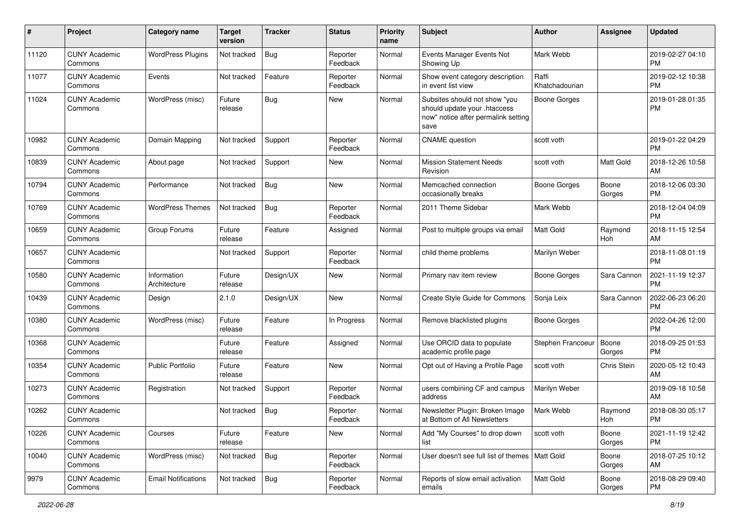| #     | Project                         | <b>Category name</b>        | <b>Target</b><br>version | <b>Tracker</b> | <b>Status</b>        | <b>Priority</b><br>name | <b>Subject</b>                                                                                               | Author                  | <b>Assignee</b> | <b>Updated</b>                |
|-------|---------------------------------|-----------------------------|--------------------------|----------------|----------------------|-------------------------|--------------------------------------------------------------------------------------------------------------|-------------------------|-----------------|-------------------------------|
| 11120 | <b>CUNY Academic</b><br>Commons | <b>WordPress Plugins</b>    | Not tracked              | <b>Bug</b>     | Reporter<br>Feedback | Normal                  | Events Manager Events Not<br>Showing Up                                                                      | Mark Webb               |                 | 2019-02-27 04:10<br><b>PM</b> |
| 11077 | <b>CUNY Academic</b><br>Commons | Events                      | Not tracked              | Feature        | Reporter<br>Feedback | Normal                  | Show event category description<br>in event list view                                                        | Raffi<br>Khatchadourian |                 | 2019-02-12 10:38<br><b>PM</b> |
| 11024 | <b>CUNY Academic</b><br>Commons | WordPress (misc)            | Future<br>release        | Bug            | New                  | Normal                  | Subsites should not show "you<br>should update your .htaccess<br>now" notice after permalink setting<br>save | <b>Boone Gorges</b>     |                 | 2019-01-28 01:35<br><b>PM</b> |
| 10982 | <b>CUNY Academic</b><br>Commons | Domain Mapping              | Not tracked              | Support        | Reporter<br>Feedback | Normal                  | <b>CNAME</b> question                                                                                        | scott voth              |                 | 2019-01-22 04:29<br><b>PM</b> |
| 10839 | <b>CUNY Academic</b><br>Commons | About page                  | Not tracked              | Support        | New                  | Normal                  | <b>Mission Statement Needs</b><br>Revision                                                                   | scott voth              | Matt Gold       | 2018-12-26 10:58<br>AM        |
| 10794 | <b>CUNY Academic</b><br>Commons | Performance                 | Not tracked              | Bug            | New                  | Normal                  | Memcached connection<br>occasionally breaks                                                                  | Boone Gorges            | Boone<br>Gorges | 2018-12-06 03:30<br><b>PM</b> |
| 10769 | <b>CUNY Academic</b><br>Commons | <b>WordPress Themes</b>     | Not tracked              | <b>Bug</b>     | Reporter<br>Feedback | Normal                  | 2011 Theme Sidebar                                                                                           | Mark Webb               |                 | 2018-12-04 04:09<br><b>PM</b> |
| 10659 | <b>CUNY Academic</b><br>Commons | Group Forums                | Future<br>release        | Feature        | Assigned             | Normal                  | Post to multiple groups via email                                                                            | <b>Matt Gold</b>        | Raymond<br>Hoh  | 2018-11-15 12:54<br>AM        |
| 10657 | <b>CUNY Academic</b><br>Commons |                             | Not tracked              | Support        | Reporter<br>Feedback | Normal                  | child theme problems                                                                                         | Marilyn Weber           |                 | 2018-11-08 01:19<br><b>PM</b> |
| 10580 | <b>CUNY Academic</b><br>Commons | Information<br>Architecture | Future<br>release        | Design/UX      | <b>New</b>           | Normal                  | Primary nav item review                                                                                      | <b>Boone Gorges</b>     | Sara Cannon     | 2021-11-19 12:37<br>PM        |
| 10439 | <b>CUNY Academic</b><br>Commons | Design                      | 2.1.0                    | Design/UX      | New                  | Normal                  | Create Style Guide for Commons                                                                               | Sonja Leix              | Sara Cannon     | 2022-06-23 06:20<br><b>PM</b> |
| 10380 | <b>CUNY Academic</b><br>Commons | WordPress (misc)            | Future<br>release        | Feature        | In Progress          | Normal                  | Remove blacklisted plugins                                                                                   | <b>Boone Gorges</b>     |                 | 2022-04-26 12:00<br><b>PM</b> |
| 10368 | <b>CUNY Academic</b><br>Commons |                             | Future<br>release        | Feature        | Assigned             | Normal                  | Use ORCID data to populate<br>academic profile page                                                          | Stephen Francoeur       | Boone<br>Gorges | 2018-09-25 01:53<br><b>PM</b> |
| 10354 | <b>CUNY Academic</b><br>Commons | <b>Public Portfolio</b>     | Future<br>release        | Feature        | New                  | Normal                  | Opt out of Having a Profile Page                                                                             | scott voth              | Chris Stein     | 2020-05-12 10:43<br>AM        |
| 10273 | <b>CUNY Academic</b><br>Commons | Registration                | Not tracked              | Support        | Reporter<br>Feedback | Normal                  | users combining CF and campus<br>address                                                                     | Marilyn Weber           |                 | 2019-09-18 10:58<br>AM        |
| 10262 | <b>CUNY Academic</b><br>Commons |                             | Not tracked              | <b>Bug</b>     | Reporter<br>Feedback | Normal                  | Newsletter Plugin: Broken Image<br>at Bottom of All Newsletters                                              | Mark Webb               | Raymond<br>Hoh  | 2018-08-30 05:17<br>PM        |
| 10226 | <b>CUNY Academic</b><br>Commons | Courses                     | Future<br>release        | Feature        | New                  | Normal                  | Add "My Courses" to drop down<br>list                                                                        | scott voth              | Boone<br>Gorges | 2021-11-19 12:42<br><b>PM</b> |
| 10040 | <b>CUNY Academic</b><br>Commons | WordPress (misc)            | Not tracked              | <b>Bug</b>     | Reporter<br>Feedback | Normal                  | User doesn't see full list of themes   Matt Gold                                                             |                         | Boone<br>Gorges | 2018-07-25 10:12<br>AM        |
| 9979  | <b>CUNY Academic</b><br>Commons | <b>Email Notifications</b>  | Not tracked              | <b>Bug</b>     | Reporter<br>Feedback | Normal                  | Reports of slow email activation<br>emails                                                                   | Matt Gold               | Boone<br>Gorges | 2018-08-29 09:40<br>PM        |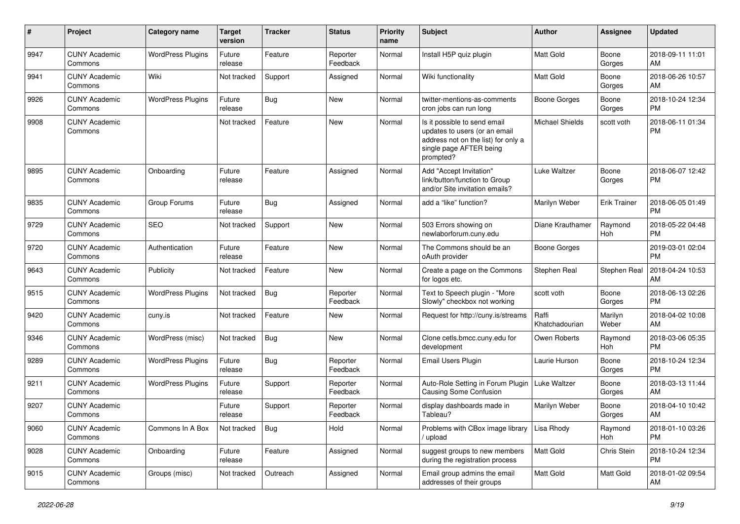| #    | Project                         | <b>Category name</b>     | <b>Target</b><br>version | <b>Tracker</b> | <b>Status</b>        | <b>Priority</b><br>name | <b>Subject</b>                                                                                                                               | <b>Author</b>           | <b>Assignee</b>  | <b>Updated</b>                |
|------|---------------------------------|--------------------------|--------------------------|----------------|----------------------|-------------------------|----------------------------------------------------------------------------------------------------------------------------------------------|-------------------------|------------------|-------------------------------|
| 9947 | <b>CUNY Academic</b><br>Commons | <b>WordPress Plugins</b> | Future<br>release        | Feature        | Reporter<br>Feedback | Normal                  | Install H5P quiz plugin                                                                                                                      | Matt Gold               | Boone<br>Gorges  | 2018-09-11 11:01<br>AM        |
| 9941 | <b>CUNY Academic</b><br>Commons | Wiki                     | Not tracked              | Support        | Assigned             | Normal                  | Wiki functionality                                                                                                                           | Matt Gold               | Boone<br>Gorges  | 2018-06-26 10:57<br>AM        |
| 9926 | <b>CUNY Academic</b><br>Commons | <b>WordPress Plugins</b> | Future<br>release        | Bug            | New                  | Normal                  | twitter-mentions-as-comments<br>cron jobs can run long                                                                                       | Boone Gorges            | Boone<br>Gorges  | 2018-10-24 12:34<br><b>PM</b> |
| 9908 | <b>CUNY Academic</b><br>Commons |                          | Not tracked              | Feature        | <b>New</b>           | Normal                  | Is it possible to send email<br>updates to users (or an email<br>address not on the list) for only a<br>single page AFTER being<br>prompted? | <b>Michael Shields</b>  | scott voth       | 2018-06-11 01:34<br><b>PM</b> |
| 9895 | <b>CUNY Academic</b><br>Commons | Onboarding               | Future<br>release        | Feature        | Assigned             | Normal                  | Add "Accept Invitation"<br>link/button/function to Group<br>and/or Site invitation emails?                                                   | <b>Luke Waltzer</b>     | Boone<br>Gorges  | 2018-06-07 12:42<br><b>PM</b> |
| 9835 | <b>CUNY Academic</b><br>Commons | Group Forums             | Future<br>release        | Bug            | Assigned             | Normal                  | add a "like" function?                                                                                                                       | Marilyn Weber           | Erik Trainer     | 2018-06-05 01:49<br><b>PM</b> |
| 9729 | <b>CUNY Academic</b><br>Commons | <b>SEO</b>               | Not tracked              | Support        | New                  | Normal                  | 503 Errors showing on<br>newlaborforum.cuny.edu                                                                                              | Diane Krauthamer        | Raymond<br>Hoh   | 2018-05-22 04:48<br><b>PM</b> |
| 9720 | <b>CUNY Academic</b><br>Commons | Authentication           | Future<br>release        | Feature        | <b>New</b>           | Normal                  | The Commons should be an<br>oAuth provider                                                                                                   | <b>Boone Gorges</b>     |                  | 2019-03-01 02:04<br><b>PM</b> |
| 9643 | <b>CUNY Academic</b><br>Commons | Publicity                | Not tracked              | Feature        | <b>New</b>           | Normal                  | Create a page on the Commons<br>for logos etc.                                                                                               | Stephen Real            | Stephen Real     | 2018-04-24 10:53<br>AM        |
| 9515 | <b>CUNY Academic</b><br>Commons | <b>WordPress Plugins</b> | Not tracked              | Bug            | Reporter<br>Feedback | Normal                  | Text to Speech plugin - "More<br>Slowly" checkbox not working                                                                                | scott voth              | Boone<br>Gorges  | 2018-06-13 02:26<br><b>PM</b> |
| 9420 | <b>CUNY Academic</b><br>Commons | cuny.is                  | Not tracked              | Feature        | New                  | Normal                  | Request for http://cuny.is/streams                                                                                                           | Raffi<br>Khatchadourian | Marilyn<br>Weber | 2018-04-02 10:08<br>AM        |
| 9346 | <b>CUNY Academic</b><br>Commons | WordPress (misc)         | Not tracked              | Bug            | <b>New</b>           | Normal                  | Clone cetls.bmcc.cuny.edu for<br>development                                                                                                 | Owen Roberts            | Raymond<br>Hoh   | 2018-03-06 05:35<br><b>PM</b> |
| 9289 | <b>CUNY Academic</b><br>Commons | <b>WordPress Plugins</b> | Future<br>release        | <b>Bug</b>     | Reporter<br>Feedback | Normal                  | Email Users Plugin                                                                                                                           | Laurie Hurson           | Boone<br>Gorges  | 2018-10-24 12:34<br><b>PM</b> |
| 9211 | <b>CUNY Academic</b><br>Commons | <b>WordPress Plugins</b> | Future<br>release        | Support        | Reporter<br>Feedback | Normal                  | Auto-Role Setting in Forum Plugin   Luke Waltzer<br>Causing Some Confusion                                                                   |                         | Boone<br>Gorges  | 2018-03-13 11:44<br>AM        |
| 9207 | <b>CUNY Academic</b><br>Commons |                          | Future<br>release        | Support        | Reporter<br>Feedback | Normal                  | display dashboards made in<br>Tableau?                                                                                                       | Marilyn Weber           | Boone<br>Gorges  | 2018-04-10 10:42<br>AM        |
| 9060 | <b>CUNY Academic</b><br>Commons | Commons In A Box         | Not tracked              | <b>Bug</b>     | Hold                 | Normal                  | Problems with CBox image library<br>upload                                                                                                   | Lisa Rhody              | Raymond<br>Hoh   | 2018-01-10 03:26<br><b>PM</b> |
| 9028 | <b>CUNY Academic</b><br>Commons | Onboarding               | Future<br>release        | Feature        | Assigned             | Normal                  | suggest groups to new members<br>during the registration process                                                                             | Matt Gold               | Chris Stein      | 2018-10-24 12:34<br><b>PM</b> |
| 9015 | <b>CUNY Academic</b><br>Commons | Groups (misc)            | Not tracked              | Outreach       | Assigned             | Normal                  | Email group admins the email<br>addresses of their groups                                                                                    | Matt Gold               | Matt Gold        | 2018-01-02 09:54<br>AM        |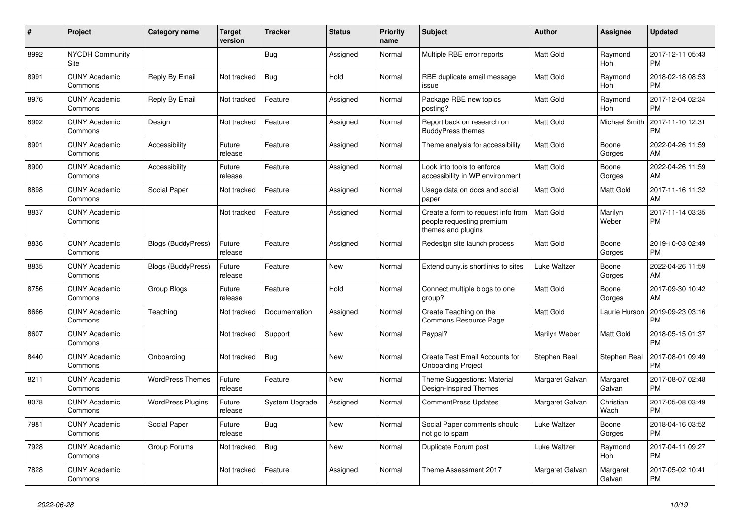| #    | Project                         | <b>Category name</b>      | <b>Target</b><br>version | <b>Tracker</b> | <b>Status</b> | <b>Priority</b><br>name | <b>Subject</b>                                                                        | Author           | <b>Assignee</b>       | <b>Updated</b>                |
|------|---------------------------------|---------------------------|--------------------------|----------------|---------------|-------------------------|---------------------------------------------------------------------------------------|------------------|-----------------------|-------------------------------|
| 8992 | <b>NYCDH Community</b><br>Site  |                           |                          | <b>Bug</b>     | Assigned      | Normal                  | Multiple RBE error reports                                                            | <b>Matt Gold</b> | Raymond<br>Hoh        | 2017-12-11 05:43<br><b>PM</b> |
| 8991 | <b>CUNY Academic</b><br>Commons | Reply By Email            | Not tracked              | Bug            | Hold          | Normal                  | RBE duplicate email message<br>issue                                                  | Matt Gold        | Raymond<br>Hoh        | 2018-02-18 08:53<br><b>PM</b> |
| 8976 | <b>CUNY Academic</b><br>Commons | Reply By Email            | Not tracked              | Feature        | Assigned      | Normal                  | Package RBE new topics<br>posting?                                                    | Matt Gold        | Raymond<br><b>Hoh</b> | 2017-12-04 02:34<br><b>PM</b> |
| 8902 | <b>CUNY Academic</b><br>Commons | Design                    | Not tracked              | Feature        | Assigned      | Normal                  | Report back on research on<br><b>BuddyPress themes</b>                                | Matt Gold        | Michael Smith         | 2017-11-10 12:31<br>PM        |
| 8901 | <b>CUNY Academic</b><br>Commons | Accessibility             | Future<br>release        | Feature        | Assigned      | Normal                  | Theme analysis for accessibility                                                      | Matt Gold        | Boone<br>Gorges       | 2022-04-26 11:59<br>AM        |
| 8900 | <b>CUNY Academic</b><br>Commons | Accessibility             | Future<br>release        | Feature        | Assigned      | Normal                  | Look into tools to enforce<br>accessibility in WP environment                         | Matt Gold        | Boone<br>Gorges       | 2022-04-26 11:59<br>AM        |
| 8898 | <b>CUNY Academic</b><br>Commons | Social Paper              | Not tracked              | Feature        | Assigned      | Normal                  | Usage data on docs and social<br>paper                                                | Matt Gold        | <b>Matt Gold</b>      | 2017-11-16 11:32<br>AM        |
| 8837 | <b>CUNY Academic</b><br>Commons |                           | Not tracked              | Feature        | Assigned      | Normal                  | Create a form to request info from<br>people requesting premium<br>themes and plugins | Matt Gold        | Marilyn<br>Weber      | 2017-11-14 03:35<br>PM        |
| 8836 | <b>CUNY Academic</b><br>Commons | <b>Blogs (BuddyPress)</b> | Future<br>release        | Feature        | Assigned      | Normal                  | Redesign site launch process                                                          | Matt Gold        | Boone<br>Gorges       | 2019-10-03 02:49<br><b>PM</b> |
| 8835 | <b>CUNY Academic</b><br>Commons | <b>Blogs (BuddyPress)</b> | Future<br>release        | Feature        | <b>New</b>    | Normal                  | Extend cuny is shortlinks to sites                                                    | Luke Waltzer     | Boone<br>Gorges       | 2022-04-26 11:59<br>AM        |
| 8756 | <b>CUNY Academic</b><br>Commons | Group Blogs               | Future<br>release        | Feature        | Hold          | Normal                  | Connect multiple blogs to one<br>group?                                               | Matt Gold        | Boone<br>Gorges       | 2017-09-30 10:42<br>AM        |
| 8666 | <b>CUNY Academic</b><br>Commons | Teaching                  | Not tracked              | Documentation  | Assigned      | Normal                  | Create Teaching on the<br><b>Commons Resource Page</b>                                | Matt Gold        | Laurie Hurson         | 2019-09-23 03:16<br>PM        |
| 8607 | <b>CUNY Academic</b><br>Commons |                           | Not tracked              | Support        | <b>New</b>    | Normal                  | Paypal?                                                                               | Marilyn Weber    | <b>Matt Gold</b>      | 2018-05-15 01:37<br><b>PM</b> |
| 8440 | <b>CUNY Academic</b><br>Commons | Onboarding                | Not tracked              | Bug            | <b>New</b>    | Normal                  | <b>Create Test Email Accounts for</b><br><b>Onboarding Project</b>                    | Stephen Real     | Stephen Real          | 2017-08-01 09:49<br><b>PM</b> |
| 8211 | <b>CUNY Academic</b><br>Commons | <b>WordPress Themes</b>   | Future<br>release        | Feature        | New           | Normal                  | Theme Suggestions: Material<br>Design-Inspired Themes                                 | Margaret Galvan  | Margaret<br>Galvan    | 2017-08-07 02:48<br>PM        |
| 8078 | <b>CUNY Academic</b><br>Commons | <b>WordPress Plugins</b>  | Future<br>release        | System Upgrade | Assigned      | Normal                  | CommentPress Updates                                                                  | Margaret Galvan  | Christian<br>Wach     | 2017-05-08 03:49<br>PM        |
| 7981 | <b>CUNY Academic</b><br>Commons | Social Paper              | Future<br>release        | <b>Bug</b>     | <b>New</b>    | Normal                  | Social Paper comments should<br>not go to spam                                        | Luke Waltzer     | Boone<br>Gorges       | 2018-04-16 03:52<br><b>PM</b> |
| 7928 | <b>CUNY Academic</b><br>Commons | Group Forums              | Not tracked              | Bug            | <b>New</b>    | Normal                  | Duplicate Forum post                                                                  | Luke Waltzer     | Raymond<br>Hoh        | 2017-04-11 09:27<br><b>PM</b> |
| 7828 | <b>CUNY Academic</b><br>Commons |                           | Not tracked              | Feature        | Assigned      | Normal                  | Theme Assessment 2017                                                                 | Margaret Galvan  | Margaret<br>Galvan    | 2017-05-02 10:41<br><b>PM</b> |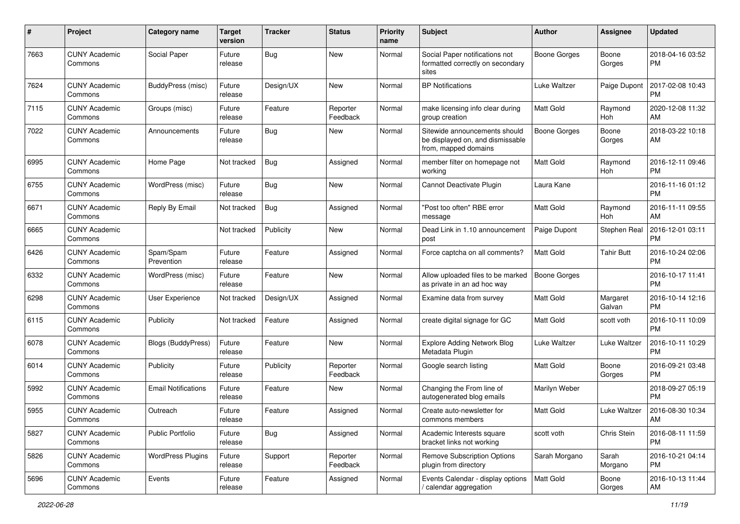| #    | Project                         | <b>Category name</b>       | <b>Target</b><br>version | <b>Tracker</b> | <b>Status</b>        | <b>Priority</b><br>name | <b>Subject</b>                                                                            | Author              | <b>Assignee</b>       | <b>Updated</b>                |
|------|---------------------------------|----------------------------|--------------------------|----------------|----------------------|-------------------------|-------------------------------------------------------------------------------------------|---------------------|-----------------------|-------------------------------|
| 7663 | <b>CUNY Academic</b><br>Commons | Social Paper               | Future<br>release        | <b>Bug</b>     | <b>New</b>           | Normal                  | Social Paper notifications not<br>formatted correctly on secondary<br>sites               | <b>Boone Gorges</b> | Boone<br>Gorges       | 2018-04-16 03:52<br><b>PM</b> |
| 7624 | <b>CUNY Academic</b><br>Commons | BuddyPress (misc)          | Future<br>release        | Design/UX      | <b>New</b>           | Normal                  | <b>BP</b> Notifications                                                                   | Luke Waltzer        | Paige Dupont          | 2017-02-08 10:43<br><b>PM</b> |
| 7115 | <b>CUNY Academic</b><br>Commons | Groups (misc)              | Future<br>release        | Feature        | Reporter<br>Feedback | Normal                  | make licensing info clear during<br>group creation                                        | Matt Gold           | Raymond<br>Hoh        | 2020-12-08 11:32<br>AM        |
| 7022 | <b>CUNY Academic</b><br>Commons | Announcements              | Future<br>release        | <b>Bug</b>     | <b>New</b>           | Normal                  | Sitewide announcements should<br>be displayed on, and dismissable<br>from, mapped domains | <b>Boone Gorges</b> | Boone<br>Gorges       | 2018-03-22 10:18<br>AM        |
| 6995 | <b>CUNY Academic</b><br>Commons | Home Page                  | Not tracked              | <b>Bug</b>     | Assigned             | Normal                  | member filter on homepage not<br>working                                                  | Matt Gold           | Raymond<br>Hoh        | 2016-12-11 09:46<br><b>PM</b> |
| 6755 | <b>CUNY Academic</b><br>Commons | WordPress (misc)           | Future<br>release        | <b>Bug</b>     | <b>New</b>           | Normal                  | Cannot Deactivate Plugin                                                                  | Laura Kane          |                       | 2016-11-16 01:12<br><b>PM</b> |
| 6671 | <b>CUNY Academic</b><br>Commons | Reply By Email             | Not tracked              | <b>Bug</b>     | Assigned             | Normal                  | "Post too often" RBE error<br>message                                                     | <b>Matt Gold</b>    | Raymond<br><b>Hoh</b> | 2016-11-11 09:55<br>AM        |
| 6665 | <b>CUNY Academic</b><br>Commons |                            | Not tracked              | Publicity      | New                  | Normal                  | Dead Link in 1.10 announcement<br>post                                                    | Paige Dupont        | Stephen Real          | 2016-12-01 03:11<br><b>PM</b> |
| 6426 | <b>CUNY Academic</b><br>Commons | Spam/Spam<br>Prevention    | Future<br>release        | Feature        | Assigned             | Normal                  | Force captcha on all comments?                                                            | <b>Matt Gold</b>    | <b>Tahir Butt</b>     | 2016-10-24 02:06<br><b>PM</b> |
| 6332 | <b>CUNY Academic</b><br>Commons | WordPress (misc)           | Future<br>release        | Feature        | <b>New</b>           | Normal                  | Allow uploaded files to be marked<br>as private in an ad hoc way                          | <b>Boone Gorges</b> |                       | 2016-10-17 11:41<br><b>PM</b> |
| 6298 | <b>CUNY Academic</b><br>Commons | <b>User Experience</b>     | Not tracked              | Design/UX      | Assigned             | Normal                  | Examine data from survey                                                                  | Matt Gold           | Margaret<br>Galvan    | 2016-10-14 12:16<br><b>PM</b> |
| 6115 | <b>CUNY Academic</b><br>Commons | Publicity                  | Not tracked              | Feature        | Assigned             | Normal                  | create digital signage for GC                                                             | <b>Matt Gold</b>    | scott voth            | 2016-10-11 10:09<br><b>PM</b> |
| 6078 | <b>CUNY Academic</b><br>Commons | <b>Blogs (BuddyPress)</b>  | Future<br>release        | Feature        | <b>New</b>           | Normal                  | <b>Explore Adding Network Blog</b><br>Metadata Plugin                                     | Luke Waltzer        | Luke Waltzer          | 2016-10-11 10:29<br><b>PM</b> |
| 6014 | <b>CUNY Academic</b><br>Commons | Publicity                  | Future<br>release        | Publicity      | Reporter<br>Feedback | Normal                  | Google search listing                                                                     | <b>Matt Gold</b>    | Boone<br>Gorges       | 2016-09-21 03:48<br><b>PM</b> |
| 5992 | <b>CUNY Academic</b><br>Commons | <b>Email Notifications</b> | Future<br>release        | Feature        | New                  | Normal                  | Changing the From line of<br>autogenerated blog emails                                    | Marilyn Weber       |                       | 2018-09-27 05:19<br><b>PM</b> |
| 5955 | CUNY Academic<br>Commons        | Outreach                   | Future<br>release        | Feature        | Assigned             | Normal                  | Create auto-newsletter for<br>commons members                                             | Matt Gold           | Luke Waltzer          | 2016-08-30 10:34<br>AM        |
| 5827 | <b>CUNY Academic</b><br>Commons | <b>Public Portfolio</b>    | Future<br>release        | Bug            | Assigned             | Normal                  | Academic Interests square<br>bracket links not working                                    | scott voth          | Chris Stein           | 2016-08-11 11:59<br>PM        |
| 5826 | <b>CUNY Academic</b><br>Commons | <b>WordPress Plugins</b>   | Future<br>release        | Support        | Reporter<br>Feedback | Normal                  | <b>Remove Subscription Options</b><br>plugin from directory                               | Sarah Morgano       | Sarah<br>Morgano      | 2016-10-21 04:14<br><b>PM</b> |
| 5696 | <b>CUNY Academic</b><br>Commons | Events                     | Future<br>release        | Feature        | Assigned             | Normal                  | Events Calendar - display options<br>calendar aggregation                                 | Matt Gold           | Boone<br>Gorges       | 2016-10-13 11:44<br>AM        |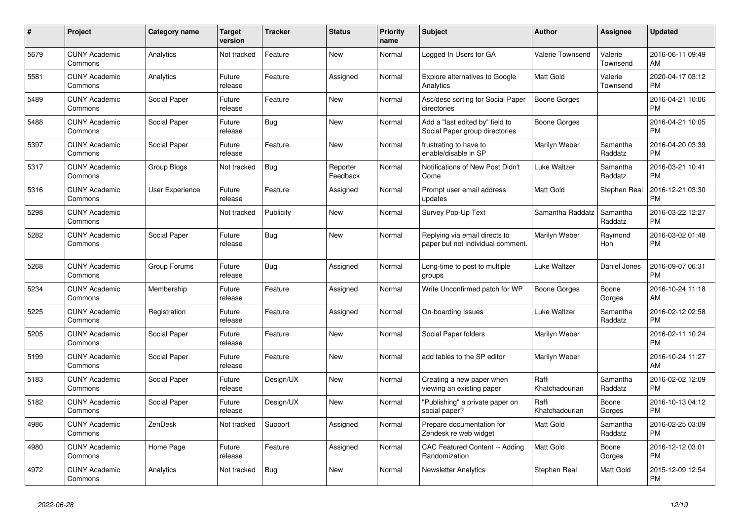| #    | <b>Project</b>                  | Category name   | <b>Target</b><br>version | <b>Tracker</b> | <b>Status</b>        | <b>Priority</b><br>name | <b>Subject</b>                                                     | <b>Author</b>           | <b>Assignee</b>     | <b>Updated</b>                |
|------|---------------------------------|-----------------|--------------------------|----------------|----------------------|-------------------------|--------------------------------------------------------------------|-------------------------|---------------------|-------------------------------|
| 5679 | <b>CUNY Academic</b><br>Commons | Analytics       | Not tracked              | Feature        | <b>New</b>           | Normal                  | Logged In Users for GA                                             | <b>Valerie Townsend</b> | Valerie<br>Townsend | 2016-06-11 09:49<br>AM        |
| 5581 | <b>CUNY Academic</b><br>Commons | Analytics       | Future<br>release        | Feature        | Assigned             | Normal                  | <b>Explore alternatives to Google</b><br>Analytics                 | <b>Matt Gold</b>        | Valerie<br>Townsend | 2020-04-17 03:12<br><b>PM</b> |
| 5489 | <b>CUNY Academic</b><br>Commons | Social Paper    | Future<br>release        | Feature        | <b>New</b>           | Normal                  | Asc/desc sorting for Social Paper<br>directories                   | <b>Boone Gorges</b>     |                     | 2016-04-21 10:06<br><b>PM</b> |
| 5488 | <b>CUNY Academic</b><br>Commons | Social Paper    | Future<br>release        | <b>Bug</b>     | <b>New</b>           | Normal                  | Add a "last edited by" field to<br>Social Paper group directories  | <b>Boone Gorges</b>     |                     | 2016-04-21 10:05<br><b>PM</b> |
| 5397 | <b>CUNY Academic</b><br>Commons | Social Paper    | Future<br>release        | Feature        | <b>New</b>           | Normal                  | frustrating to have to<br>enable/disable in SP                     | Marilyn Weber           | Samantha<br>Raddatz | 2016-04-20 03:39<br><b>PM</b> |
| 5317 | <b>CUNY Academic</b><br>Commons | Group Blogs     | Not tracked              | <b>Bug</b>     | Reporter<br>Feedback | Normal                  | Notifications of New Post Didn't<br>Come                           | Luke Waltzer            | Samantha<br>Raddatz | 2016-03-21 10:41<br><b>PM</b> |
| 5316 | <b>CUNY Academic</b><br>Commons | User Experience | Future<br>release        | Feature        | Assigned             | Normal                  | Prompt user email address<br>updates                               | <b>Matt Gold</b>        | Stephen Real        | 2016-12-21 03:30<br><b>PM</b> |
| 5298 | <b>CUNY Academic</b><br>Commons |                 | Not tracked              | Publicity      | <b>New</b>           | Normal                  | Survey Pop-Up Text                                                 | Samantha Raddatz        | Samantha<br>Raddatz | 2016-03-22 12:27<br><b>PM</b> |
| 5282 | <b>CUNY Academic</b><br>Commons | Social Paper    | Future<br>release        | <b>Bug</b>     | <b>New</b>           | Normal                  | Replying via email directs to<br>paper but not individual comment. | Marilyn Weber           | Raymond<br>Hoh      | 2016-03-02 01:48<br><b>PM</b> |
| 5268 | <b>CUNY Academic</b><br>Commons | Group Forums    | Future<br>release        | <b>Bug</b>     | Assigned             | Normal                  | Long-time to post to multiple<br>groups                            | Luke Waltzer            | Daniel Jones        | 2016-09-07 06:31<br><b>PM</b> |
| 5234 | <b>CUNY Academic</b><br>Commons | Membership      | Future<br>release        | Feature        | Assigned             | Normal                  | Write Unconfirmed patch for WP                                     | <b>Boone Gorges</b>     | Boone<br>Gorges     | 2016-10-24 11:18<br>AM        |
| 5225 | <b>CUNY Academic</b><br>Commons | Registration    | Future<br>release        | Feature        | Assigned             | Normal                  | On-boarding Issues                                                 | Luke Waltzer            | Samantha<br>Raddatz | 2016-02-12 02:58<br><b>PM</b> |
| 5205 | <b>CUNY Academic</b><br>Commons | Social Paper    | Future<br>release        | Feature        | <b>New</b>           | Normal                  | Social Paper folders                                               | Marilyn Weber           |                     | 2016-02-11 10:24<br><b>PM</b> |
| 5199 | <b>CUNY Academic</b><br>Commons | Social Paper    | Future<br>release        | Feature        | <b>New</b>           | Normal                  | add tables to the SP editor                                        | Marilyn Weber           |                     | 2016-10-24 11:27<br>AM        |
| 5183 | <b>CUNY Academic</b><br>Commons | Social Paper    | Future<br>release        | Design/UX      | <b>New</b>           | Normal                  | Creating a new paper when<br>viewing an existing paper             | Raffi<br>Khatchadourian | Samantha<br>Raddatz | 2016-02-02 12:09<br><b>PM</b> |
| 5182 | <b>CUNY Academic</b><br>Commons | Social Paper    | Future<br>release        | Design/UX      | <b>New</b>           | Normal                  | "Publishing" a private paper on<br>social paper?                   | Raffi<br>Khatchadourian | Boone<br>Gorges     | 2016-10-13 04:12<br><b>PM</b> |
| 4986 | <b>CUNY Academic</b><br>Commons | ZenDesk         | Not tracked              | Support        | Assigned             | Normal                  | Prepare documentation for<br>Zendesk re web widget                 | Matt Gold               | Samantha<br>Raddatz | 2016-02-25 03:09<br><b>PM</b> |
| 4980 | <b>CUNY Academic</b><br>Commons | Home Page       | Future<br>release        | Feature        | Assigned             | Normal                  | CAC Featured Content -- Adding<br>Randomization                    | <b>Matt Gold</b>        | Boone<br>Gorges     | 2016-12-12 03:01<br><b>PM</b> |
| 4972 | <b>CUNY Academic</b><br>Commons | Analytics       | Not tracked              | Bug            | <b>New</b>           | Normal                  | <b>Newsletter Analytics</b>                                        | Stephen Real            | <b>Matt Gold</b>    | 2015-12-09 12:54<br><b>PM</b> |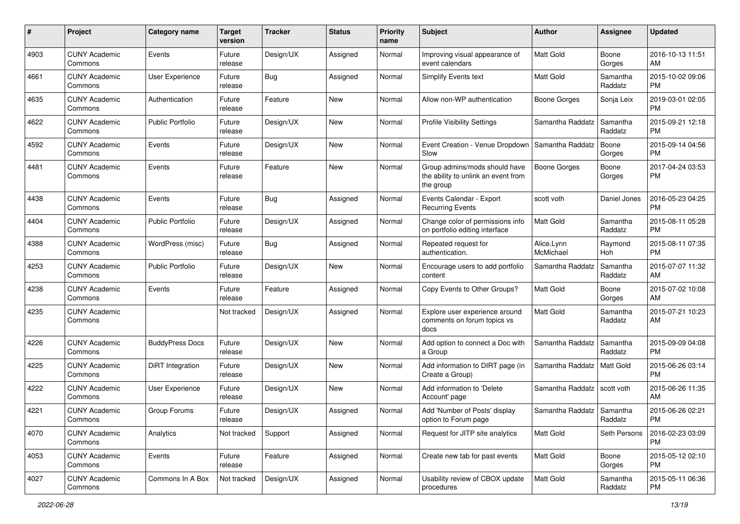| #    | Project                         | <b>Category name</b>    | <b>Target</b><br>version | <b>Tracker</b> | <b>Status</b> | <b>Priority</b><br>name | Subject                                                                           | Author                  | <b>Assignee</b>     | <b>Updated</b>                |
|------|---------------------------------|-------------------------|--------------------------|----------------|---------------|-------------------------|-----------------------------------------------------------------------------------|-------------------------|---------------------|-------------------------------|
| 4903 | <b>CUNY Academic</b><br>Commons | Events                  | Future<br>release        | Design/UX      | Assigned      | Normal                  | Improving visual appearance of<br>event calendars                                 | <b>Matt Gold</b>        | Boone<br>Gorges     | 2016-10-13 11:51<br>AM        |
| 4661 | <b>CUNY Academic</b><br>Commons | User Experience         | Future<br>release        | <b>Bug</b>     | Assigned      | Normal                  | Simplify Events text                                                              | Matt Gold               | Samantha<br>Raddatz | 2015-10-02 09:06<br><b>PM</b> |
| 4635 | <b>CUNY Academic</b><br>Commons | Authentication          | Future<br>release        | Feature        | New           | Normal                  | Allow non-WP authentication                                                       | Boone Gorges            | Sonja Leix          | 2019-03-01 02:05<br><b>PM</b> |
| 4622 | <b>CUNY Academic</b><br>Commons | <b>Public Portfolio</b> | Future<br>release        | Design/UX      | <b>New</b>    | Normal                  | <b>Profile Visibility Settings</b>                                                | Samantha Raddatz        | Samantha<br>Raddatz | 2015-09-21 12:18<br><b>PM</b> |
| 4592 | <b>CUNY Academic</b><br>Commons | Events                  | Future<br>release        | Design/UX      | New           | Normal                  | Event Creation - Venue Dropdown<br>Slow                                           | Samantha Raddatz        | Boone<br>Gorges     | 2015-09-14 04:56<br><b>PM</b> |
| 4481 | <b>CUNY Academic</b><br>Commons | Events                  | Future<br>release        | Feature        | <b>New</b>    | Normal                  | Group admins/mods should have<br>the ability to unlink an event from<br>the group | <b>Boone Gorges</b>     | Boone<br>Gorges     | 2017-04-24 03:53<br><b>PM</b> |
| 4438 | <b>CUNY Academic</b><br>Commons | Events                  | Future<br>release        | Bug            | Assigned      | Normal                  | Events Calendar - Export<br><b>Recurring Events</b>                               | scott voth              | Daniel Jones        | 2016-05-23 04:25<br><b>PM</b> |
| 4404 | <b>CUNY Academic</b><br>Commons | <b>Public Portfolio</b> | Future<br>release        | Design/UX      | Assigned      | Normal                  | Change color of permissions info<br>on portfolio editing interface                | Matt Gold               | Samantha<br>Raddatz | 2015-08-11 05:28<br><b>PM</b> |
| 4388 | <b>CUNY Academic</b><br>Commons | WordPress (misc)        | Future<br>release        | Bug            | Assigned      | Normal                  | Repeated request for<br>authentication.                                           | Alice.Lynn<br>McMichael | Raymond<br>Hoh      | 2015-08-11 07:35<br><b>PM</b> |
| 4253 | <b>CUNY Academic</b><br>Commons | <b>Public Portfolio</b> | Future<br>release        | Design/UX      | New           | Normal                  | Encourage users to add portfolio<br>content                                       | Samantha Raddatz        | Samantha<br>Raddatz | 2015-07-07 11:32<br>AM        |
| 4238 | <b>CUNY Academic</b><br>Commons | Events                  | Future<br>release        | Feature        | Assigned      | Normal                  | Copy Events to Other Groups?                                                      | Matt Gold               | Boone<br>Gorges     | 2015-07-02 10:08<br>AM        |
| 4235 | <b>CUNY Academic</b><br>Commons |                         | Not tracked              | Design/UX      | Assigned      | Normal                  | Explore user experience around<br>comments on forum topics vs<br>docs             | Matt Gold               | Samantha<br>Raddatz | 2015-07-21 10:23<br>AM        |
| 4226 | <b>CUNY Academic</b><br>Commons | <b>BuddyPress Docs</b>  | Future<br>release        | Design/UX      | New           | Normal                  | Add option to connect a Doc with<br>a Group                                       | Samantha Raddatz        | Samantha<br>Raddatz | 2015-09-09 04:08<br><b>PM</b> |
| 4225 | <b>CUNY Academic</b><br>Commons | DiRT Integration        | Future<br>release        | Design/UX      | <b>New</b>    | Normal                  | Add information to DIRT page (in<br>Create a Group)                               | Samantha Raddatz        | <b>Matt Gold</b>    | 2015-06-26 03:14<br><b>PM</b> |
| 4222 | <b>CUNY Academic</b><br>Commons | User Experience         | Future<br>release        | Design/UX      | New           | Normal                  | Add information to 'Delete<br>Account' page                                       | Samantha Raddatz        | scott voth          | 2015-06-26 11:35<br>AM        |
| 4221 | <b>CUNY Academic</b><br>Commons | Group Forums            | Future<br>release        | Design/UX      | Assigned      | Normal                  | Add 'Number of Posts' display<br>option to Forum page                             | Samantha Raddatz        | Samantha<br>Raddatz | 2015-06-26 02:21<br>PM        |
| 4070 | <b>CUNY Academic</b><br>Commons | Analytics               | Not tracked              | Support        | Assigned      | Normal                  | Request for JITP site analytics                                                   | Matt Gold               | Seth Persons        | 2016-02-23 03:09<br><b>PM</b> |
| 4053 | <b>CUNY Academic</b><br>Commons | Events                  | Future<br>release        | Feature        | Assigned      | Normal                  | Create new tab for past events                                                    | Matt Gold               | Boone<br>Gorges     | 2015-05-12 02:10<br><b>PM</b> |
| 4027 | <b>CUNY Academic</b><br>Commons | Commons In A Box        | Not tracked              | Design/UX      | Assigned      | Normal                  | Usability review of CBOX update<br>procedures                                     | Matt Gold               | Samantha<br>Raddatz | 2015-05-11 06:36<br>PM        |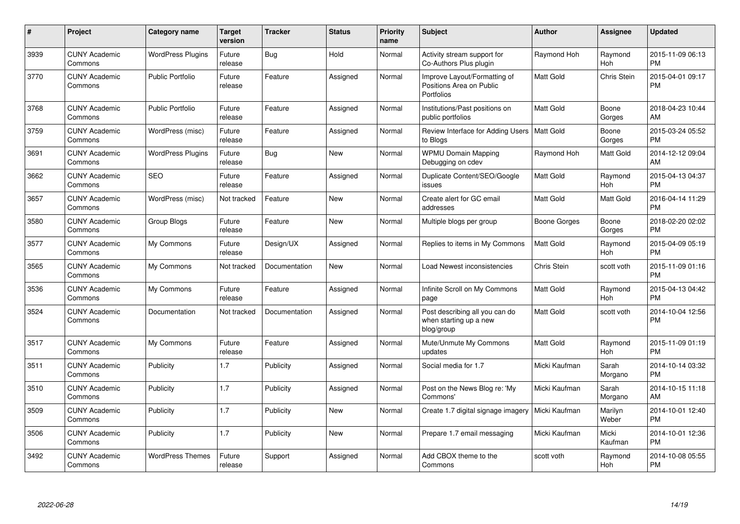| #    | Project                         | <b>Category name</b>     | Target<br>version | <b>Tracker</b> | <b>Status</b> | <b>Priority</b><br>name | <b>Subject</b>                                                         | <b>Author</b>      | <b>Assignee</b>  | <b>Updated</b>                |
|------|---------------------------------|--------------------------|-------------------|----------------|---------------|-------------------------|------------------------------------------------------------------------|--------------------|------------------|-------------------------------|
| 3939 | <b>CUNY Academic</b><br>Commons | <b>WordPress Plugins</b> | Future<br>release | Bug            | Hold          | Normal                  | Activity stream support for<br>Co-Authors Plus plugin                  | Raymond Hoh        | Raymond<br>Hoh   | 2015-11-09 06:13<br><b>PM</b> |
| 3770 | <b>CUNY Academic</b><br>Commons | <b>Public Portfolio</b>  | Future<br>release | Feature        | Assigned      | Normal                  | Improve Layout/Formatting of<br>Positions Area on Public<br>Portfolios | <b>Matt Gold</b>   | Chris Stein      | 2015-04-01 09:17<br><b>PM</b> |
| 3768 | <b>CUNY Academic</b><br>Commons | <b>Public Portfolio</b>  | Future<br>release | Feature        | Assigned      | Normal                  | Institutions/Past positions on<br>public portfolios                    | Matt Gold          | Boone<br>Gorges  | 2018-04-23 10:44<br>AM        |
| 3759 | <b>CUNY Academic</b><br>Commons | WordPress (misc)         | Future<br>release | Feature        | Assigned      | Normal                  | Review Interface for Adding Users   Matt Gold<br>to Blogs              |                    | Boone<br>Gorges  | 2015-03-24 05:52<br><b>PM</b> |
| 3691 | <b>CUNY Academic</b><br>Commons | <b>WordPress Plugins</b> | Future<br>release | Bug            | <b>New</b>    | Normal                  | <b>WPMU Domain Mapping</b><br>Debugging on cdev                        | Raymond Hoh        | <b>Matt Gold</b> | 2014-12-12 09:04<br>AM        |
| 3662 | <b>CUNY Academic</b><br>Commons | <b>SEO</b>               | Future<br>release | Feature        | Assigned      | Normal                  | Duplicate Content/SEO/Google<br>issues                                 | Matt Gold          | Raymond<br>Hoh   | 2015-04-13 04:37<br><b>PM</b> |
| 3657 | <b>CUNY Academic</b><br>Commons | WordPress (misc)         | Not tracked       | Feature        | <b>New</b>    | Normal                  | Create alert for GC email<br>addresses                                 | Matt Gold          | <b>Matt Gold</b> | 2016-04-14 11:29<br><b>PM</b> |
| 3580 | <b>CUNY Academic</b><br>Commons | Group Blogs              | Future<br>release | Feature        | <b>New</b>    | Normal                  | Multiple blogs per group                                               | Boone Gorges       | Boone<br>Gorges  | 2018-02-20 02:02<br><b>PM</b> |
| 3577 | <b>CUNY Academic</b><br>Commons | My Commons               | Future<br>release | Design/UX      | Assigned      | Normal                  | Replies to items in My Commons                                         | <b>Matt Gold</b>   | Raymond<br>Hoh   | 2015-04-09 05:19<br><b>PM</b> |
| 3565 | <b>CUNY Academic</b><br>Commons | My Commons               | Not tracked       | Documentation  | New           | Normal                  | Load Newest inconsistencies                                            | <b>Chris Stein</b> | scott voth       | 2015-11-09 01:16<br><b>PM</b> |
| 3536 | <b>CUNY Academic</b><br>Commons | My Commons               | Future<br>release | Feature        | Assigned      | Normal                  | Infinite Scroll on My Commons<br>page                                  | Matt Gold          | Raymond<br>Hoh   | 2015-04-13 04:42<br><b>PM</b> |
| 3524 | <b>CUNY Academic</b><br>Commons | Documentation            | Not tracked       | Documentation  | Assigned      | Normal                  | Post describing all you can do<br>when starting up a new<br>blog/group | <b>Matt Gold</b>   | scott voth       | 2014-10-04 12:56<br><b>PM</b> |
| 3517 | <b>CUNY Academic</b><br>Commons | My Commons               | Future<br>release | Feature        | Assigned      | Normal                  | Mute/Unmute My Commons<br>updates                                      | Matt Gold          | Raymond<br>Hoh   | 2015-11-09 01:19<br><b>PM</b> |
| 3511 | <b>CUNY Academic</b><br>Commons | Publicity                | 1.7               | Publicity      | Assigned      | Normal                  | Social media for 1.7                                                   | Micki Kaufman      | Sarah<br>Morgano | 2014-10-14 03:32<br><b>PM</b> |
| 3510 | <b>CUNY Academic</b><br>Commons | Publicity                | 1.7               | Publicity      | Assigned      | Normal                  | Post on the News Blog re: 'My<br>Commons'                              | Micki Kaufman      | Sarah<br>Morgano | 2014-10-15 11:18<br>AM        |
| 3509 | <b>CUNY Academic</b><br>Commons | Publicity                | 1.7               | Publicity      | <b>New</b>    | Normal                  | Create 1.7 digital signage imagery                                     | Micki Kaufman      | Marilyn<br>Weber | 2014-10-01 12:40<br><b>PM</b> |
| 3506 | <b>CUNY Academic</b><br>Commons | Publicity                | 1.7               | Publicity      | New           | Normal                  | Prepare 1.7 email messaging                                            | Micki Kaufman      | Micki<br>Kaufman | 2014-10-01 12:36<br><b>PM</b> |
| 3492 | <b>CUNY Academic</b><br>Commons | <b>WordPress Themes</b>  | Future<br>release | Support        | Assigned      | Normal                  | Add CBOX theme to the<br>Commons                                       | scott voth         | Raymond<br>Hoh   | 2014-10-08 05:55<br><b>PM</b> |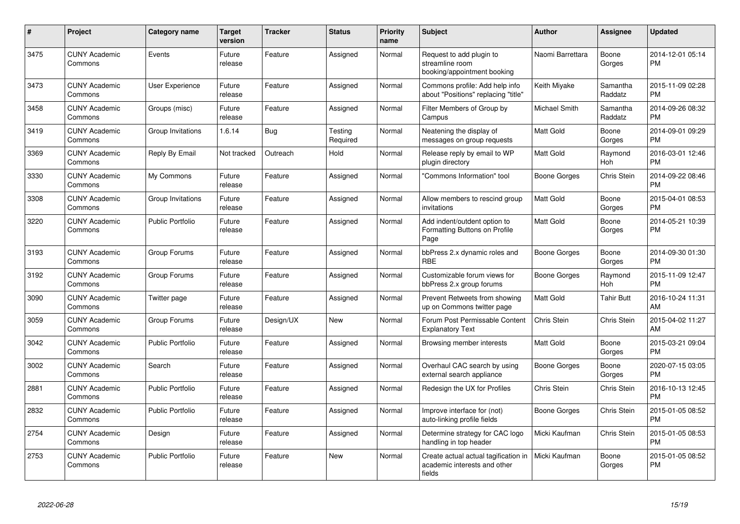| #    | Project                         | Category name           | <b>Target</b><br>version | <b>Tracker</b> | <b>Status</b>       | <b>Priority</b><br>name | <b>Subject</b>                                                                 | <b>Author</b>    | Assignee            | <b>Updated</b>                |
|------|---------------------------------|-------------------------|--------------------------|----------------|---------------------|-------------------------|--------------------------------------------------------------------------------|------------------|---------------------|-------------------------------|
| 3475 | <b>CUNY Academic</b><br>Commons | Events                  | Future<br>release        | Feature        | Assigned            | Normal                  | Request to add plugin to<br>streamline room<br>booking/appointment booking     | Naomi Barrettara | Boone<br>Gorges     | 2014-12-01 05:14<br><b>PM</b> |
| 3473 | <b>CUNY Academic</b><br>Commons | <b>User Experience</b>  | Future<br>release        | Feature        | Assigned            | Normal                  | Commons profile: Add help info<br>about "Positions" replacing "title"          | Keith Miyake     | Samantha<br>Raddatz | 2015-11-09 02:28<br><b>PM</b> |
| 3458 | <b>CUNY Academic</b><br>Commons | Groups (misc)           | Future<br>release        | Feature        | Assigned            | Normal                  | Filter Members of Group by<br>Campus                                           | Michael Smith    | Samantha<br>Raddatz | 2014-09-26 08:32<br><b>PM</b> |
| 3419 | <b>CUNY Academic</b><br>Commons | Group Invitations       | 1.6.14                   | Bug            | Testing<br>Required | Normal                  | Neatening the display of<br>messages on group requests                         | <b>Matt Gold</b> | Boone<br>Gorges     | 2014-09-01 09:29<br><b>PM</b> |
| 3369 | <b>CUNY Academic</b><br>Commons | Reply By Email          | Not tracked              | Outreach       | Hold                | Normal                  | Release reply by email to WP<br>plugin directory                               | Matt Gold        | Raymond<br>Hoh      | 2016-03-01 12:46<br><b>PM</b> |
| 3330 | <b>CUNY Academic</b><br>Commons | My Commons              | Future<br>release        | Feature        | Assigned            | Normal                  | "Commons Information" tool                                                     | Boone Gorges     | Chris Stein         | 2014-09-22 08:46<br><b>PM</b> |
| 3308 | <b>CUNY Academic</b><br>Commons | Group Invitations       | Future<br>release        | Feature        | Assigned            | Normal                  | Allow members to rescind group<br>invitations                                  | Matt Gold        | Boone<br>Gorges     | 2015-04-01 08:53<br><b>PM</b> |
| 3220 | <b>CUNY Academic</b><br>Commons | <b>Public Portfolio</b> | Future<br>release        | Feature        | Assigned            | Normal                  | Add indent/outdent option to<br>Formatting Buttons on Profile<br>Page          | <b>Matt Gold</b> | Boone<br>Gorges     | 2014-05-21 10:39<br><b>PM</b> |
| 3193 | <b>CUNY Academic</b><br>Commons | Group Forums            | Future<br>release        | Feature        | Assigned            | Normal                  | bbPress 2.x dynamic roles and<br><b>RBE</b>                                    | Boone Gorges     | Boone<br>Gorges     | 2014-09-30 01:30<br><b>PM</b> |
| 3192 | <b>CUNY Academic</b><br>Commons | Group Forums            | Future<br>release        | Feature        | Assigned            | Normal                  | Customizable forum views for<br>bbPress 2.x group forums                       | Boone Gorges     | Raymond<br>Hoh      | 2015-11-09 12:47<br><b>PM</b> |
| 3090 | <b>CUNY Academic</b><br>Commons | Twitter page            | Future<br>release        | Feature        | Assigned            | Normal                  | Prevent Retweets from showing<br>up on Commons twitter page                    | <b>Matt Gold</b> | <b>Tahir Butt</b>   | 2016-10-24 11:31<br>AM        |
| 3059 | <b>CUNY Academic</b><br>Commons | Group Forums            | Future<br>release        | Design/UX      | <b>New</b>          | Normal                  | Forum Post Permissable Content<br><b>Explanatory Text</b>                      | Chris Stein      | Chris Stein         | 2015-04-02 11:27<br>AM        |
| 3042 | <b>CUNY Academic</b><br>Commons | <b>Public Portfolio</b> | Future<br>release        | Feature        | Assigned            | Normal                  | Browsing member interests                                                      | Matt Gold        | Boone<br>Gorges     | 2015-03-21 09:04<br><b>PM</b> |
| 3002 | <b>CUNY Academic</b><br>Commons | Search                  | Future<br>release        | Feature        | Assigned            | Normal                  | Overhaul CAC search by using<br>external search appliance                      | Boone Gorges     | Boone<br>Gorges     | 2020-07-15 03:05<br><b>PM</b> |
| 2881 | <b>CUNY Academic</b><br>Commons | <b>Public Portfolio</b> | Future<br>release        | Feature        | Assigned            | Normal                  | Redesign the UX for Profiles                                                   | Chris Stein      | Chris Stein         | 2016-10-13 12:45<br><b>PM</b> |
| 2832 | <b>CUNY Academic</b><br>Commons | <b>Public Portfolio</b> | Future<br>release        | Feature        | Assigned            | Normal                  | Improve interface for (not)<br>auto-linking profile fields                     | Boone Gorges     | Chris Stein         | 2015-01-05 08:52<br><b>PM</b> |
| 2754 | <b>CUNY Academic</b><br>Commons | Design                  | Future<br>release        | Feature        | Assigned            | Normal                  | Determine strategy for CAC logo<br>handling in top header                      | Micki Kaufman    | Chris Stein         | 2015-01-05 08:53<br><b>PM</b> |
| 2753 | <b>CUNY Academic</b><br>Commons | <b>Public Portfolio</b> | Future<br>release        | Feature        | <b>New</b>          | Normal                  | Create actual actual tagification in<br>academic interests and other<br>fields | Micki Kaufman    | Boone<br>Gorges     | 2015-01-05 08:52<br><b>PM</b> |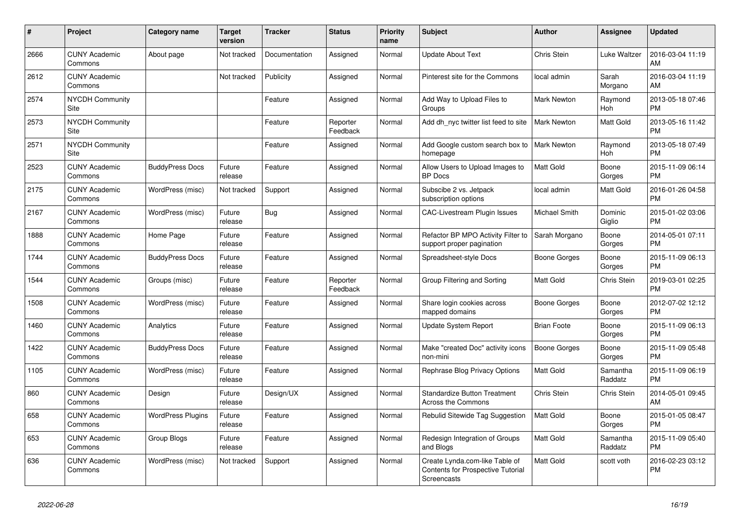| #    | <b>Project</b>                  | Category name            | <b>Target</b><br>version | <b>Tracker</b> | <b>Status</b>        | <b>Priority</b><br>name | <b>Subject</b>                                                                            | <b>Author</b>       | Assignee              | <b>Updated</b>                |
|------|---------------------------------|--------------------------|--------------------------|----------------|----------------------|-------------------------|-------------------------------------------------------------------------------------------|---------------------|-----------------------|-------------------------------|
| 2666 | <b>CUNY Academic</b><br>Commons | About page               | Not tracked              | Documentation  | Assigned             | Normal                  | <b>Update About Text</b>                                                                  | <b>Chris Stein</b>  | Luke Waltzer          | 2016-03-04 11:19<br>AM        |
| 2612 | <b>CUNY Academic</b><br>Commons |                          | Not tracked              | Publicity      | Assigned             | Normal                  | Pinterest site for the Commons                                                            | local admin         | Sarah<br>Morgano      | 2016-03-04 11:19<br>AM        |
| 2574 | <b>NYCDH Community</b><br>Site  |                          |                          | Feature        | Assigned             | Normal                  | Add Way to Upload Files to<br>Groups                                                      | Mark Newton         | Raymond<br><b>Hoh</b> | 2013-05-18 07:46<br><b>PM</b> |
| 2573 | <b>NYCDH Community</b><br>Site  |                          |                          | Feature        | Reporter<br>Feedback | Normal                  | Add dh nyc twitter list feed to site                                                      | <b>Mark Newton</b>  | Matt Gold             | 2013-05-16 11:42<br><b>PM</b> |
| 2571 | <b>NYCDH Community</b><br>Site  |                          |                          | Feature        | Assigned             | Normal                  | Add Google custom search box to<br>homepage                                               | <b>Mark Newton</b>  | Raymond<br>Hoh        | 2013-05-18 07:49<br><b>PM</b> |
| 2523 | <b>CUNY Academic</b><br>Commons | <b>BuddyPress Docs</b>   | Future<br>release        | Feature        | Assigned             | Normal                  | Allow Users to Upload Images to<br><b>BP</b> Docs                                         | Matt Gold           | Boone<br>Gorges       | 2015-11-09 06:14<br><b>PM</b> |
| 2175 | <b>CUNY Academic</b><br>Commons | WordPress (misc)         | Not tracked              | Support        | Assigned             | Normal                  | Subscibe 2 vs. Jetpack<br>subscription options                                            | local admin         | <b>Matt Gold</b>      | 2016-01-26 04:58<br><b>PM</b> |
| 2167 | <b>CUNY Academic</b><br>Commons | WordPress (misc)         | Future<br>release        | Bug            | Assigned             | Normal                  | <b>CAC-Livestream Plugin Issues</b>                                                       | Michael Smith       | Dominic<br>Giglio     | 2015-01-02 03:06<br><b>PM</b> |
| 1888 | <b>CUNY Academic</b><br>Commons | Home Page                | Future<br>release        | Feature        | Assigned             | Normal                  | Refactor BP MPO Activity Filter to<br>support proper pagination                           | Sarah Morgano       | Boone<br>Gorges       | 2014-05-01 07:11<br><b>PM</b> |
| 1744 | <b>CUNY Academic</b><br>Commons | <b>BuddyPress Docs</b>   | Future<br>release        | Feature        | Assigned             | Normal                  | Spreadsheet-style Docs                                                                    | Boone Gorges        | Boone<br>Gorges       | 2015-11-09 06:13<br><b>PM</b> |
| 1544 | <b>CUNY Academic</b><br>Commons | Groups (misc)            | Future<br>release        | Feature        | Reporter<br>Feedback | Normal                  | Group Filtering and Sorting                                                               | Matt Gold           | Chris Stein           | 2019-03-01 02:25<br><b>PM</b> |
| 1508 | <b>CUNY Academic</b><br>Commons | WordPress (misc)         | Future<br>release        | Feature        | Assigned             | Normal                  | Share login cookies across<br>mapped domains                                              | Boone Gorges        | Boone<br>Gorges       | 2012-07-02 12:12<br><b>PM</b> |
| 1460 | <b>CUNY Academic</b><br>Commons | Analytics                | Future<br>release        | Feature        | Assigned             | Normal                  | Update System Report                                                                      | <b>Brian Foote</b>  | Boone<br>Gorges       | 2015-11-09 06:13<br><b>PM</b> |
| 1422 | <b>CUNY Academic</b><br>Commons | <b>BuddyPress Docs</b>   | Future<br>release        | Feature        | Assigned             | Normal                  | Make "created Doc" activity icons<br>non-mini                                             | <b>Boone Gorges</b> | Boone<br>Gorges       | 2015-11-09 05:48<br><b>PM</b> |
| 1105 | <b>CUNY Academic</b><br>Commons | WordPress (misc)         | Future<br>release        | Feature        | Assigned             | Normal                  | Rephrase Blog Privacy Options                                                             | Matt Gold           | Samantha<br>Raddatz   | 2015-11-09 06:19<br><b>PM</b> |
| 860  | <b>CUNY Academic</b><br>Commons | Design                   | Future<br>release        | Design/UX      | Assigned             | Normal                  | Standardize Button Treatment<br>Across the Commons                                        | <b>Chris Stein</b>  | Chris Stein           | 2014-05-01 09:45<br>AM        |
| 658  | <b>CUNY Academic</b><br>Commons | <b>WordPress Plugins</b> | Future<br>release        | Feature        | Assigned             | Normal                  | Rebulid Sitewide Tag Suggestion                                                           | <b>Matt Gold</b>    | Boone<br>Gorges       | 2015-01-05 08:47<br><b>PM</b> |
| 653  | <b>CUNY Academic</b><br>Commons | Group Blogs              | Future<br>release        | Feature        | Assigned             | Normal                  | Redesign Integration of Groups<br>and Blogs                                               | Matt Gold           | Samantha<br>Raddatz   | 2015-11-09 05:40<br><b>PM</b> |
| 636  | <b>CUNY Academic</b><br>Commons | WordPress (misc)         | Not tracked              | Support        | Assigned             | Normal                  | Create Lynda.com-like Table of<br><b>Contents for Prospective Tutorial</b><br>Screencasts | <b>Matt Gold</b>    | scott voth            | 2016-02-23 03:12<br><b>PM</b> |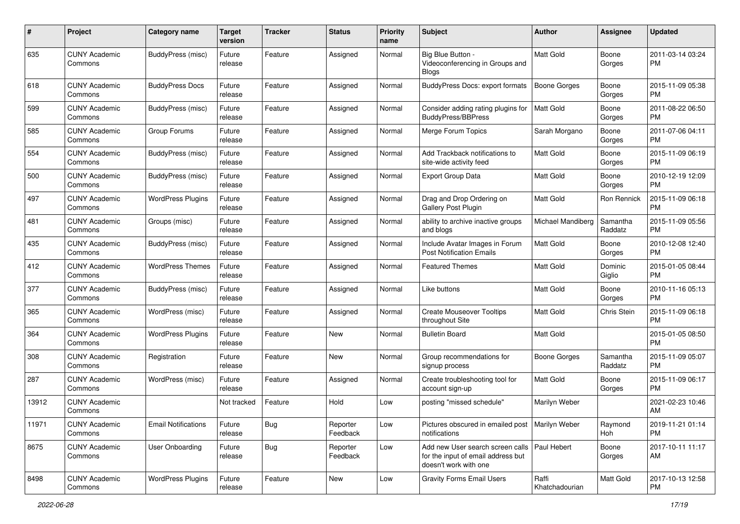| #     | Project                         | <b>Category name</b>       | <b>Target</b><br>version | <b>Tracker</b> | <b>Status</b>        | <b>Priority</b><br>name | <b>Subject</b>                                                                                                | Author                  | <b>Assignee</b>     | <b>Updated</b>                |
|-------|---------------------------------|----------------------------|--------------------------|----------------|----------------------|-------------------------|---------------------------------------------------------------------------------------------------------------|-------------------------|---------------------|-------------------------------|
| 635   | <b>CUNY Academic</b><br>Commons | BuddyPress (misc)          | Future<br>release        | Feature        | Assigned             | Normal                  | Big Blue Button -<br>Videoconferencing in Groups and<br>Blogs                                                 | <b>Matt Gold</b>        | Boone<br>Gorges     | 2011-03-14 03:24<br>PM        |
| 618   | <b>CUNY Academic</b><br>Commons | <b>BuddyPress Docs</b>     | Future<br>release        | Feature        | Assigned             | Normal                  | <b>BuddyPress Docs: export formats</b>                                                                        | <b>Boone Gorges</b>     | Boone<br>Gorges     | 2015-11-09 05:38<br>PM.       |
| 599   | <b>CUNY Academic</b><br>Commons | BuddyPress (misc)          | Future<br>release        | Feature        | Assigned             | Normal                  | Consider adding rating plugins for<br><b>BuddyPress/BBPress</b>                                               | Matt Gold               | Boone<br>Gorges     | 2011-08-22 06:50<br><b>PM</b> |
| 585   | <b>CUNY Academic</b><br>Commons | Group Forums               | Future<br>release        | Feature        | Assigned             | Normal                  | Merge Forum Topics                                                                                            | Sarah Morgano           | Boone<br>Gorges     | 2011-07-06 04:11<br><b>PM</b> |
| 554   | <b>CUNY Academic</b><br>Commons | BuddyPress (misc)          | Future<br>release        | Feature        | Assigned             | Normal                  | Add Trackback notifications to<br>site-wide activity feed                                                     | Matt Gold               | Boone<br>Gorges     | 2015-11-09 06:19<br><b>PM</b> |
| 500   | <b>CUNY Academic</b><br>Commons | BuddyPress (misc)          | Future<br>release        | Feature        | Assigned             | Normal                  | <b>Export Group Data</b>                                                                                      | <b>Matt Gold</b>        | Boone<br>Gorges     | 2010-12-19 12:09<br><b>PM</b> |
| 497   | <b>CUNY Academic</b><br>Commons | <b>WordPress Plugins</b>   | Future<br>release        | Feature        | Assigned             | Normal                  | Drag and Drop Ordering on<br>Gallery Post Plugin                                                              | Matt Gold               | Ron Rennick         | 2015-11-09 06:18<br><b>PM</b> |
| 481   | <b>CUNY Academic</b><br>Commons | Groups (misc)              | Future<br>release        | Feature        | Assigned             | Normal                  | ability to archive inactive groups<br>and blogs                                                               | Michael Mandiberg       | Samantha<br>Raddatz | 2015-11-09 05:56<br><b>PM</b> |
| 435   | <b>CUNY Academic</b><br>Commons | BuddyPress (misc)          | Future<br>release        | Feature        | Assigned             | Normal                  | Include Avatar Images in Forum<br><b>Post Notification Emails</b>                                             | Matt Gold               | Boone<br>Gorges     | 2010-12-08 12:40<br>PM        |
| 412   | <b>CUNY Academic</b><br>Commons | <b>WordPress Themes</b>    | Future<br>release        | Feature        | Assigned             | Normal                  | Featured Themes                                                                                               | Matt Gold               | Dominic<br>Giglio   | 2015-01-05 08:44<br><b>PM</b> |
| 377   | <b>CUNY Academic</b><br>Commons | BuddyPress (misc)          | Future<br>release        | Feature        | Assigned             | Normal                  | Like buttons                                                                                                  | <b>Matt Gold</b>        | Boone<br>Gorges     | 2010-11-16 05:13<br><b>PM</b> |
| 365   | <b>CUNY Academic</b><br>Commons | WordPress (misc)           | Future<br>release        | Feature        | Assigned             | Normal                  | <b>Create Mouseover Tooltips</b><br>throughout Site                                                           | Matt Gold               | Chris Stein         | 2015-11-09 06:18<br><b>PM</b> |
| 364   | <b>CUNY Academic</b><br>Commons | <b>WordPress Plugins</b>   | Future<br>release        | Feature        | <b>New</b>           | Normal                  | <b>Bulletin Board</b>                                                                                         | <b>Matt Gold</b>        |                     | 2015-01-05 08:50<br><b>PM</b> |
| 308   | <b>CUNY Academic</b><br>Commons | Registration               | Future<br>release        | Feature        | <b>New</b>           | Normal                  | Group recommendations for<br>signup process                                                                   | <b>Boone Gorges</b>     | Samantha<br>Raddatz | 2015-11-09 05:07<br><b>PM</b> |
| 287   | <b>CUNY Academic</b><br>Commons | WordPress (misc)           | Future<br>release        | Feature        | Assigned             | Normal                  | Create troubleshooting tool for<br>account sign-up                                                            | Matt Gold               | Boone<br>Gorges     | 2015-11-09 06:17<br><b>PM</b> |
| 13912 | <b>CUNY Academic</b><br>Commons |                            | Not tracked              | Feature        | Hold                 | Low                     | posting "missed schedule"                                                                                     | Marilyn Weber           |                     | 2021-02-23 10:46<br>AM        |
| 11971 | <b>CUNY Academic</b><br>Commons | <b>Email Notifications</b> | Future<br>release        | <b>Bug</b>     | Reporter<br>Feedback | Low                     | Pictures obscured in emailed post   Marilyn Weber<br>notifications                                            |                         | Raymond<br>Hoh      | 2019-11-21 01:14<br><b>PM</b> |
| 8675  | <b>CUNY Academic</b><br>Commons | User Onboarding            | Future<br>release        | <b>Bug</b>     | Reporter<br>Feedback | Low                     | Add new User search screen calls   Paul Hebert<br>for the input of email address but<br>doesn't work with one |                         | Boone<br>Gorges     | 2017-10-11 11:17<br>AM        |
| 8498  | <b>CUNY Academic</b><br>Commons | <b>WordPress Plugins</b>   | Future<br>release        | Feature        | New                  | Low                     | <b>Gravity Forms Email Users</b>                                                                              | Raffi<br>Khatchadourian | Matt Gold           | 2017-10-13 12:58<br><b>PM</b> |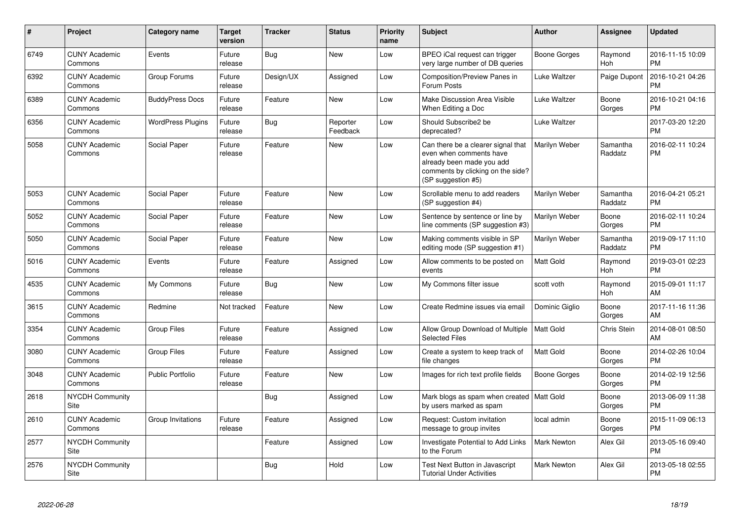| #    | Project                         | <b>Category name</b>     | Target<br>version | <b>Tracker</b> | <b>Status</b>        | <b>Priority</b><br>name | <b>Subject</b>                                                                                                                                        | <b>Author</b>       | <b>Assignee</b>       | <b>Updated</b>                |
|------|---------------------------------|--------------------------|-------------------|----------------|----------------------|-------------------------|-------------------------------------------------------------------------------------------------------------------------------------------------------|---------------------|-----------------------|-------------------------------|
| 6749 | <b>CUNY Academic</b><br>Commons | Events                   | Future<br>release | Bug            | <b>New</b>           | Low                     | BPEO iCal request can trigger<br>very large number of DB queries                                                                                      | <b>Boone Gorges</b> | Raymond<br>Hoh        | 2016-11-15 10:09<br><b>PM</b> |
| 6392 | <b>CUNY Academic</b><br>Commons | Group Forums             | Future<br>release | Design/UX      | Assigned             | Low                     | Composition/Preview Panes in<br>Forum Posts                                                                                                           | Luke Waltzer        | Paige Dupont          | 2016-10-21 04:26<br><b>PM</b> |
| 6389 | <b>CUNY Academic</b><br>Commons | <b>BuddyPress Docs</b>   | Future<br>release | Feature        | <b>New</b>           | Low                     | Make Discussion Area Visible<br>When Editing a Doc                                                                                                    | Luke Waltzer        | Boone<br>Gorges       | 2016-10-21 04:16<br><b>PM</b> |
| 6356 | <b>CUNY Academic</b><br>Commons | <b>WordPress Plugins</b> | Future<br>release | <b>Bug</b>     | Reporter<br>Feedback | Low                     | Should Subscribe2 be<br>deprecated?                                                                                                                   | <b>Luke Waltzer</b> |                       | 2017-03-20 12:20<br><b>PM</b> |
| 5058 | <b>CUNY Academic</b><br>Commons | Social Paper             | Future<br>release | Feature        | New                  | Low                     | Can there be a clearer signal that<br>even when comments have<br>already been made you add<br>comments by clicking on the side?<br>(SP suggestion #5) | Marilyn Weber       | Samantha<br>Raddatz   | 2016-02-11 10:24<br><b>PM</b> |
| 5053 | <b>CUNY Academic</b><br>Commons | Social Paper             | Future<br>release | Feature        | <b>New</b>           | Low                     | Scrollable menu to add readers<br>(SP suggestion #4)                                                                                                  | Marilyn Weber       | Samantha<br>Raddatz   | 2016-04-21 05:21<br><b>PM</b> |
| 5052 | <b>CUNY Academic</b><br>Commons | Social Paper             | Future<br>release | Feature        | New                  | Low                     | Sentence by sentence or line by<br>line comments (SP suggestion #3)                                                                                   | Marilyn Weber       | Boone<br>Gorges       | 2016-02-11 10:24<br><b>PM</b> |
| 5050 | <b>CUNY Academic</b><br>Commons | Social Paper             | Future<br>release | Feature        | New                  | Low                     | Making comments visible in SP<br>editing mode (SP suggestion #1)                                                                                      | Marilyn Weber       | Samantha<br>Raddatz   | 2019-09-17 11:10<br><b>PM</b> |
| 5016 | <b>CUNY Academic</b><br>Commons | Events                   | Future<br>release | Feature        | Assigned             | Low                     | Allow comments to be posted on<br>events                                                                                                              | Matt Gold           | Raymond<br><b>Hoh</b> | 2019-03-01 02:23<br><b>PM</b> |
| 4535 | <b>CUNY Academic</b><br>Commons | My Commons               | Future<br>release | <b>Bug</b>     | <b>New</b>           | Low                     | My Commons filter issue                                                                                                                               | scott voth          | Raymond<br>Hoh        | 2015-09-01 11:17<br>AM        |
| 3615 | <b>CUNY Academic</b><br>Commons | Redmine                  | Not tracked       | Feature        | <b>New</b>           | Low                     | Create Redmine issues via email                                                                                                                       | Dominic Giglio      | Boone<br>Gorges       | 2017-11-16 11:36<br>AM        |
| 3354 | <b>CUNY Academic</b><br>Commons | <b>Group Files</b>       | Future<br>release | Feature        | Assigned             | Low                     | Allow Group Download of Multiple<br><b>Selected Files</b>                                                                                             | Matt Gold           | Chris Stein           | 2014-08-01 08:50<br>AM        |
| 3080 | <b>CUNY Academic</b><br>Commons | <b>Group Files</b>       | Future<br>release | Feature        | Assigned             | Low                     | Create a system to keep track of<br>file changes                                                                                                      | Matt Gold           | Boone<br>Gorges       | 2014-02-26 10:04<br><b>PM</b> |
| 3048 | <b>CUNY Academic</b><br>Commons | <b>Public Portfolio</b>  | Future<br>release | Feature        | <b>New</b>           | Low                     | Images for rich text profile fields                                                                                                                   | <b>Boone Gorges</b> | Boone<br>Gorges       | 2014-02-19 12:56<br><b>PM</b> |
| 2618 | <b>NYCDH Community</b><br>Site  |                          |                   | <b>Bug</b>     | Assigned             | Low                     | Mark blogs as spam when created   Matt Gold<br>by users marked as spam                                                                                |                     | Boone<br>Gorges       | 2013-06-09 11:38<br><b>PM</b> |
| 2610 | <b>CUNY Academic</b><br>Commons | Group Invitations        | Future<br>release | Feature        | Assigned             | Low                     | Request: Custom invitation<br>message to group invites                                                                                                | local admin         | Boone<br>Gorges       | 2015-11-09 06:13<br><b>PM</b> |
| 2577 | <b>NYCDH Community</b><br>Site  |                          |                   | Feature        | Assigned             | Low                     | Investigate Potential to Add Links<br>to the Forum                                                                                                    | <b>Mark Newton</b>  | Alex Gil              | 2013-05-16 09:40<br><b>PM</b> |
| 2576 | <b>NYCDH Community</b><br>Site  |                          |                   | <b>Bug</b>     | Hold                 | Low                     | Test Next Button in Javascript<br><b>Tutorial Under Activities</b>                                                                                    | <b>Mark Newton</b>  | Alex Gil              | 2013-05-18 02:55<br><b>PM</b> |